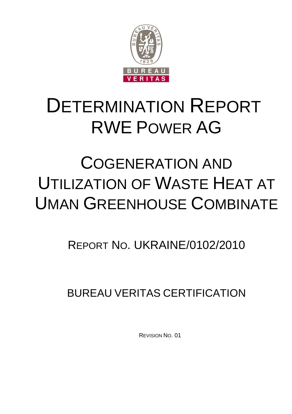

# DETERMINATION REPORT RWE POWER AG

# COGENERATION AND UTILIZATION OF WASTE HEAT AT UMAN GREENHOUSE COMBINATE

## REPORT NO. UKRAINE/0102/2010

BUREAU VERITAS CERTIFICATION

REVISION NO. 01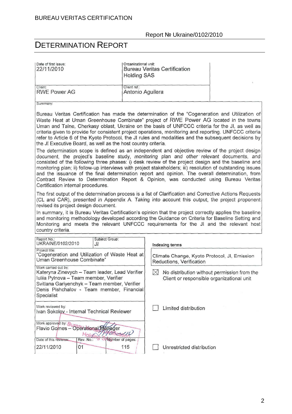| Date of first issue:<br>22/11/2010                                                                                                                                                                                                                                                                                                                                                                                                                                                                                                                                                                                                                                                                                                                                                                                                                                                                                                                                                                                                                                                                                                                                                                                                    | Organizational unit:<br><b>Bureau Veritas Certification</b><br><b>Holding SAS</b>                                                                                                                                                                                                                                                                                                                                                                                                                                   |  |  |
|---------------------------------------------------------------------------------------------------------------------------------------------------------------------------------------------------------------------------------------------------------------------------------------------------------------------------------------------------------------------------------------------------------------------------------------------------------------------------------------------------------------------------------------------------------------------------------------------------------------------------------------------------------------------------------------------------------------------------------------------------------------------------------------------------------------------------------------------------------------------------------------------------------------------------------------------------------------------------------------------------------------------------------------------------------------------------------------------------------------------------------------------------------------------------------------------------------------------------------------|---------------------------------------------------------------------------------------------------------------------------------------------------------------------------------------------------------------------------------------------------------------------------------------------------------------------------------------------------------------------------------------------------------------------------------------------------------------------------------------------------------------------|--|--|
| Client:<br><b>RWE Power AG</b>                                                                                                                                                                                                                                                                                                                                                                                                                                                                                                                                                                                                                                                                                                                                                                                                                                                                                                                                                                                                                                                                                                                                                                                                        | Client ref.:<br>Antonio Aguilera                                                                                                                                                                                                                                                                                                                                                                                                                                                                                    |  |  |
| Summary:                                                                                                                                                                                                                                                                                                                                                                                                                                                                                                                                                                                                                                                                                                                                                                                                                                                                                                                                                                                                                                                                                                                                                                                                                              |                                                                                                                                                                                                                                                                                                                                                                                                                                                                                                                     |  |  |
| Bureau Veritas Certification has made the determination of the "Cogeneration and Utilization of<br>Waste Heat at Uman Greenhouse Combinate" project of RWE Power AG located in the towns<br>Uman and Talne, Cherkasy oblast, Ukraine on the basis of UNFCCC criteria for the JI, as well as<br>criteria given to provide for consistent project operations, monitoring and reporting. UNFCCC criteria<br>refer to Article 6 of the Kyoto Protocol, the JI rules and modalities and the subsequent decisions by<br>the JI Executive Board, as well as the host country criteria.<br>The determination scope is defined as an independent and objective review of the project design<br>document, the project's baseline study, monitoring plan and other relevant documents, and<br>consisted of the following three phases: i) desk review of the project design and the baseline and<br>monitoring plan; ii) follow-up interviews with project stakeholders; iii) resolution of outstanding issues<br>and the issuance of the final determination report and opinion. The overall determination, from<br>Contract Review to Determination Report & Opinion, was conducted using Bureau Veritas<br>Certification internal procedures. |                                                                                                                                                                                                                                                                                                                                                                                                                                                                                                                     |  |  |
| revised its project design document.<br>country criteria.                                                                                                                                                                                                                                                                                                                                                                                                                                                                                                                                                                                                                                                                                                                                                                                                                                                                                                                                                                                                                                                                                                                                                                             | The first output of the determination process is a list of Clarification and Corrective Actions Requests<br>(CL and CAR), presented in Appendix A. Taking into account this output, the project proponent<br>In summary, it is Bureau Veritas Certification's opinion that the project correctly applies the baseline<br>and monitoring methodology developed according the Guidance on Criteria for Baseline Setting and<br>Monitoring and meets the relevant UNFCCC requirements for the JI and the relevant host |  |  |
| Report No.:<br>Subject Group:<br>UKRAINE/0102/2010<br>JI                                                                                                                                                                                                                                                                                                                                                                                                                                                                                                                                                                                                                                                                                                                                                                                                                                                                                                                                                                                                                                                                                                                                                                              | Indexing terms                                                                                                                                                                                                                                                                                                                                                                                                                                                                                                      |  |  |
| Project title:<br>"Cogeneration and Utilization of Waste Heat at<br>Uman Greenhouse Combinate"                                                                                                                                                                                                                                                                                                                                                                                                                                                                                                                                                                                                                                                                                                                                                                                                                                                                                                                                                                                                                                                                                                                                        | Climate Change, Kyoto Protocol, JI, Emission<br>Reductions, Verification                                                                                                                                                                                                                                                                                                                                                                                                                                            |  |  |
| Work carried out by:<br>Kateryna Zinevych - Team leader, Lead Verifier<br>Iuliia Pylnova - Team member, Verifier<br>Svitlana Gariyenchyk - Team member, Verifier<br>Denis Pishchalov - Team member, Financial<br>Specialist                                                                                                                                                                                                                                                                                                                                                                                                                                                                                                                                                                                                                                                                                                                                                                                                                                                                                                                                                                                                           | $\bowtie$<br>No distribution without permission from the<br>Client or responsible organizational unit                                                                                                                                                                                                                                                                                                                                                                                                               |  |  |
| Work reviewed by:<br>Ivan Sokolov - Internal Technical Reviewer                                                                                                                                                                                                                                                                                                                                                                                                                                                                                                                                                                                                                                                                                                                                                                                                                                                                                                                                                                                                                                                                                                                                                                       | Limited distribution                                                                                                                                                                                                                                                                                                                                                                                                                                                                                                |  |  |
| Work approved by: Burgerational Manager<br>Holdin<br>Date of this revision:<br>Rev. No.:<br>Number of pages:                                                                                                                                                                                                                                                                                                                                                                                                                                                                                                                                                                                                                                                                                                                                                                                                                                                                                                                                                                                                                                                                                                                          |                                                                                                                                                                                                                                                                                                                                                                                                                                                                                                                     |  |  |
| 22/11/2010<br>01                                                                                                                                                                                                                                                                                                                                                                                                                                                                                                                                                                                                                                                                                                                                                                                                                                                                                                                                                                                                                                                                                                                                                                                                                      | 115<br>Unrestricted distribution                                                                                                                                                                                                                                                                                                                                                                                                                                                                                    |  |  |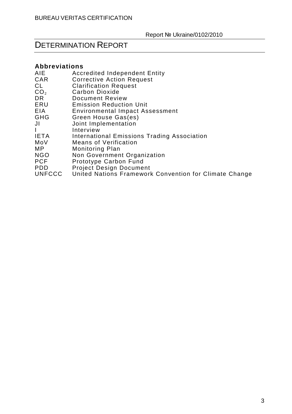## DETERMINATION REPORT

#### **Abbreviations**

| AIE             | <b>Accredited Independent Entity</b>                   |
|-----------------|--------------------------------------------------------|
| CAR             | <b>Corrective Action Request</b>                       |
| CL              | <b>Clarification Request</b>                           |
| $\mathsf{CO_2}$ | Carbon Dioxide                                         |
| DR              | Document Review                                        |
| ERU             | <b>Emission Reduction Unit</b>                         |
| EIA             | <b>Environmental Impact Assessment</b>                 |
| GHG             | Green House Gas(es)                                    |
| JI              | Joint Implementation                                   |
|                 | Interview                                              |
| IETA            | International Emissions Trading Association            |
| MoV             | <b>Means of Verification</b>                           |
| МP              | <b>Monitoring Plan</b>                                 |
| NGO             | Non Government Organization                            |
| PCF             | Prototype Carbon Fund                                  |
| PDD             | <b>Project Design Document</b>                         |
| <b>UNFCCC</b>   | United Nations Framework Convention for Climate Change |
|                 |                                                        |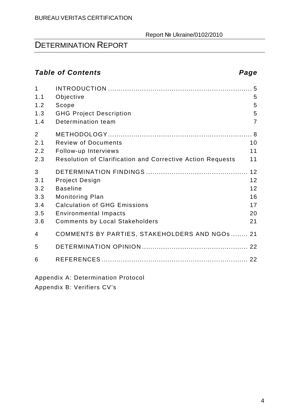## DETERMINATION REPORT

### **Table of Contents Page**

| $\mathbf{1}$<br>1.1<br>1.2<br>1.3<br>1.4    | Objective<br>Scope<br><b>GHG Project Description</b><br>Determination team                                                                                                         | 5<br>5<br>5<br>$\overline{7}$          |
|---------------------------------------------|------------------------------------------------------------------------------------------------------------------------------------------------------------------------------------|----------------------------------------|
| 2<br>2.1<br>2.2<br>2.3                      | <b>Review of Documents</b><br>Follow-up Interviews<br>Resolution of Clarification and Corrective Action Requests                                                                   | 10<br>11<br>11                         |
| 3<br>3.1<br>3.2<br>3.3<br>3.4<br>3.5<br>3.6 | <b>Project Design</b><br><b>Baseline</b><br><b>Monitoring Plan</b><br><b>Calculation of GHG Emissions</b><br><b>Environmental Impacts</b><br><b>Comments by Local Stakeholders</b> | 12<br>12<br>12<br>16<br>17<br>20<br>21 |
| 4                                           | COMMENTS BY PARTIES, STAKEHOLDERS AND NGOS  21                                                                                                                                     |                                        |
| 5<br>6                                      |                                                                                                                                                                                    | 22                                     |

Appendix A: Determination Protocol

Appendix B: Verifiers CV's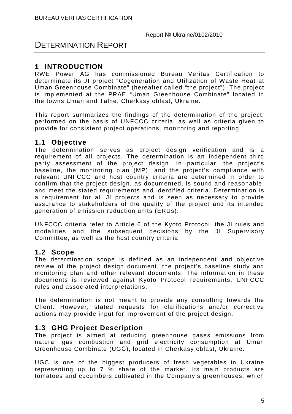### **1 INTRODUCTION**

RWE Power AG has commissioned Bureau Veritas Certification to determinate its JI project "Cogeneration and Utilization of Waste Heat at Uman Greenhouse Combinate" (hereafter called "the project"). The project is implemented at the PRAE "Uman Greenhouse Combinate" located in the towns Uman and Talne, Cherkasy oblast, Ukraine.

This report summarizes the findings of the determination of the project, performed on the basis of UNFCCC criteria, as well as criteria given to provide for consistent project operations, monitoring and reporting.

#### **1.1 Objective**

The determination serves as project design verification and is a requirement of all projects. The determination is an independent third party assessment of the project design. In particular, the project's baseline, the monitoring plan (MP), and the project's compliance with relevant UNFCCC and host country criteria are determined in order to confirm that the project design, as documented, is sound and reasonable, and meet the stated requirements and identified criteria. Determination is a requirement for all JI projects and is seen as necessary to provide assurance to stakeholders of the quality of the project and its intended generation of emission reduction units (ERUs).

UNFCCC criteria refer to Article 6 of the Kyoto Protocol, the JI rules and modalities and the subsequent decisions by the JI Supervisory Committee, as well as the host country criteria.

#### **1.2 Scope**

The determination scope is defined as an independent and objective review of the project design document, the project's baseline study and monitoring plan and other relevant documents. The information in these documents is reviewed against Kyoto Protocol requirements, UNFCCC rules and associated interpretations.

The determination is not meant to provide any consulting towards the Client. However, stated requests for clarifications and/or corrective actions may provide input for improvement of the project design.

#### **1.3 GHG Project Description**

The project is aimed at reducing greenhouse gases emissions from natural gas combustion and grid electricity consumption at Uman Greenhouse Combinate (UGС), located in Cherkasy oblast, Ukraine.

UGC is one of the biggest producers of fresh vegetables in Ukraine representing up to 7 % share of the market. Its main products are tomatoes and cucumbers cultivated in the Company's greenhouses, which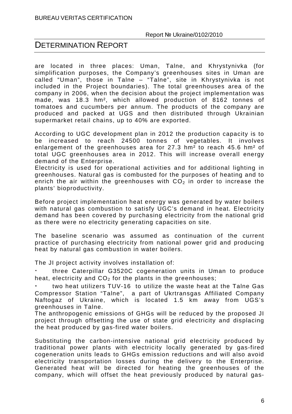#### DETERMINATION REPORT

are located in three places: Uman, Talne, and Khrystynivka (for simplification purposes, the Company's greenhouses sites in Uman are called "Uman", those in Talne – "Talne", site in Khrystynivka is not included in the Project boundaries). The total greenhouses area of the company in 2006, when the decision about the project implementation was made, was 18.3 hm², which allowed production of 8162 tonnes of tomatoes and cucumbers per annum. The products of the company are produced and packed at UGS and then distributed through Ukrainian supermarket retail chains, up to 40% are exported.

According to UGC development plan in 2012 the production capacity is to be increased to reach 24500 tonnes of vegetables. It involves enlargement of the greenhouses area for 27.3 hm² to reach 45.6 hm² of total UGC greenhouses area in 2012. This will increase overall energy demand of the Enterprise.

Electricity is used for operational activities and for additional lighting in greenhouses. Natural gas is combusted for the purposes of heating and to enrich the air within the greenhouses with  $CO<sub>2</sub>$  in order to increase the plants' bioproductivity.

Before project implementation heat energy was generated by water boilers with natural gas combustion to satisfy UGC's demand in heat. Electricity demand has been covered by purchasing electricity from the national grid as there were no electricity generating capacities on site.

The baseline scenario was assumed as continuation of the current practice of purchasing electricity from national power grid and producing heat by natural gas combustion in water boilers.

The JI project activity involves installation of:

⋅ three Caterpillar G3520C cogeneration units in Uman to produce heat, electricity and  $CO<sub>2</sub>$  for the plants in the greenhouses;

two heat utilizers TUV-16 to utilize the waste heat at the Talne Gas Compressor Station "Talne", a part of Ukrtransgas Affiliated Company Naftogaz of Ukraine, which is located 1.5 km away from UGS's greenhouses in Talne.

The anthropogenic emissions of GHGs will be reduced by the proposed JI project through offsetting the use of state grid electricity and displacing the heat produced by gas-fired water boilers.

Substituting the carbon-intensive national grid electricity produced by traditional power plants with electricity locally generated by gas-fired cogeneration units leads to GHGs emission reductions and will also avoid electricity transportation losses during the delivery to the Enterprise. Generated heat will be directed for heating the greenhouses of the company, which will offset the heat previously produced by natural gas-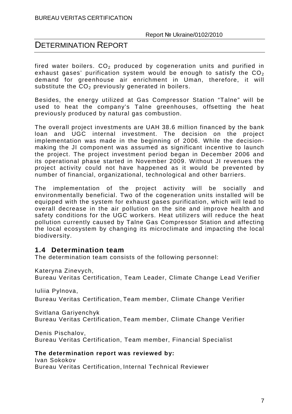fired water boilers.  $CO<sub>2</sub>$  produced by cogeneration units and purified in exhaust gases' purification system would be enough to satisfy the  $CO<sub>2</sub>$ demand for greenhouse air enrichment in Uman, therefore, it will substitute the  $CO<sub>2</sub>$  previously generated in boilers.

Besides, the energy utilized at Gas Compressor Station "Talne" will be used to heat the company's Talne greenhouses, offsetting the heat previously produced by natural gas combustion.

The overall project investments are UAH 38.6 million financed by the bank loan and UGC internal investment. The decision on the project implementation was made in the beginning of 2006. While the decisionmaking the JI component was assumed as significant incentive to launch the project. The project investment period began in December 2006 and its operational phase started in November 2009. Without JI revenues the project activity could not have happened as it would be prevented by number of financial, organizational, technological and other barriers.

The implementation of the project activity will be socially and environmentally beneficial. Two of the cogeneration units installed will be equipped with the system for exhaust gases purification, which will lead to overall decrease in the air pollution on the site and improve health and safety conditions for the UGC workers. Heat utilizers will reduce the heat pollution currently caused by Talne Gas Compressor Station and affecting the local ecosystem by changing its microclimate and impacting the local biodiversity.

#### **1.4 Determination team**

The determination team consists of the following personnel:

Kateryna Zinevych,

Bureau Veritas Certification, Team Leader, Climate Change Lead Verifier

Iuliia Pylnova,

Bureau Veritas Certification, Team member, Climate Change Verifier

Svitlana Gariyenchyk Bureau Veritas Certification, Team member, Climate Change Verifier

Denis Pischalov, Bureau Veritas Certification, Team member, Financial Specialist

#### **The determination report was reviewed by:**

Ivan Sokokov Bureau Veritas Certification, Internal Technical Reviewer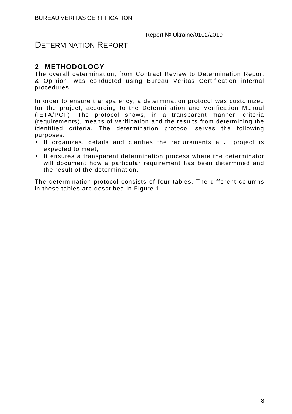#### **2 METHODOLOGY**

The overall determination, from Contract Review to Determination Report & Opinion, was conducted using Bureau Veritas Certification internal procedures.

In order to ensure transparency, a determination protocol was customized for the project, according to the Determination and Verification Manual (IETA/PCF). The protocol shows, in a transparent manner, criteria (requirements), means of verification and the results from determining the identified criteria. The determination protocol serves the following purposes:

- It organizes, details and clarifies the requirements a JI project is expected to meet;
- It ensures a transparent determination process where the determinator will document how a particular requirement has been determined and the result of the determination.

The determination protocol consists of four tables. The different columns in these tables are described in Figure 1.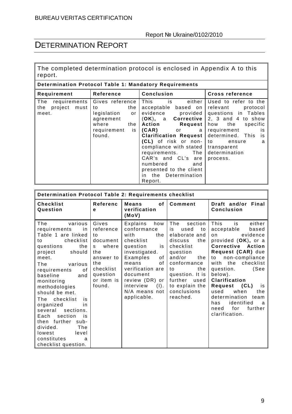I

The completed determination protocol is enclosed in Appendix A to this report.

#### **Determination Protocol Table 1: Mandatory Requirements**

| Requirement            | Reference         | <b>Conclusion</b>            | <b>Cross reference</b>  |
|------------------------|-------------------|------------------------------|-------------------------|
| requirements<br>The    | Gives reference   | This is<br>either            | Used to refer to the    |
| project<br>the<br>must | the<br>to         | acceptable based on          | relevant<br>protocol    |
| meet.                  | legislation<br>or | evidence provided            | questions in Tables     |
|                        | agreement         | (OK), a Corrective           | 2, 3 and 4 to show      |
|                        | where<br>the      | Action<br>Request            | how<br>the<br>specific  |
|                        | is<br>requirement | (CAR)<br>or <b>or</b><br>a   | requirement<br>is       |
|                        | found.            | <b>Clarification Request</b> | determined. This<br>is. |
|                        |                   | (CL) of risk or non-         | to<br>ensure<br>a       |
|                        |                   | compliance with stated       | transparent             |
|                        |                   | The<br>requirements.         | determination           |
|                        |                   | CAR's and CL's are           | process.                |
|                        |                   | numbered<br>and              |                         |
|                        |                   | presented to the client      |                         |
|                        |                   | in the Determination         |                         |
|                        |                   | Report.                      |                         |

| Determination Protocol Table 2: Requirements checklist                                                                                                                                                                                                                                                                                                                                                                                             |                                                                                                                                 |                                                                                                                                                                                                                                          |                                                                                                                                                                                                                                |                                                                                                                                                                                                                                                                                                                                                                                               |  |
|----------------------------------------------------------------------------------------------------------------------------------------------------------------------------------------------------------------------------------------------------------------------------------------------------------------------------------------------------------------------------------------------------------------------------------------------------|---------------------------------------------------------------------------------------------------------------------------------|------------------------------------------------------------------------------------------------------------------------------------------------------------------------------------------------------------------------------------------|--------------------------------------------------------------------------------------------------------------------------------------------------------------------------------------------------------------------------------|-----------------------------------------------------------------------------------------------------------------------------------------------------------------------------------------------------------------------------------------------------------------------------------------------------------------------------------------------------------------------------------------------|--|
| <b>Checklist</b><br>Question                                                                                                                                                                                                                                                                                                                                                                                                                       | Referenc<br>e                                                                                                                   | <b>Means</b><br>οf<br>verification<br>(MoV)                                                                                                                                                                                              | Comment                                                                                                                                                                                                                        | Draft and/or<br>Final<br><b>Conclusion</b>                                                                                                                                                                                                                                                                                                                                                    |  |
| The<br>various<br>requirements<br>in<br>Table 1 are linked<br>checklist<br>to<br>questions<br>the<br>project<br>should<br>meet.<br>The<br>various<br>requirements<br>0f<br>baseline<br>and<br>monitoring<br>methodologies<br>should be met.<br>checklist<br>The<br>is<br>organized<br>in<br>sections.<br>several<br>section<br>Each<br>is<br>then further<br>sub-<br>divided.<br>The<br>lowest<br>level<br>constitutes<br>a<br>checklist question. | Gives<br>reference<br>to<br>document<br>where<br>S.<br>the<br>answer to<br>the<br>checklist<br>question<br>or item is<br>found. | Explains<br>how<br>conformance<br>the<br>with<br>checklist<br>question<br>is<br>investigated.<br>Examples<br>of<br>of<br>means<br>verification are<br>document<br>review (DR) or<br>interview<br>$(I)$ .<br>N/A means not<br>applicable. | The<br>section<br>used<br>is<br>to<br>elaborate and<br>the<br>discuss<br>checklist<br>question<br>and/or<br>the<br>conformance<br>the<br>to<br>question. It is<br>further<br>used<br>to explain the<br>conclusions<br>reached. | This<br>is<br>either<br>acceptable<br>based<br>evidence<br>on.<br>provided (OK), or a<br>Corrective<br>Action<br>Request (CAR) due<br>non-compliance<br>to<br>with<br>the<br>checklist<br>(See<br>question.<br>below).<br><b>Clarification</b><br>(CL)<br>Request<br>is<br>used<br>when<br>the<br>determination<br>team<br>identified<br>has<br>a<br>for<br>further<br>need<br>clarification. |  |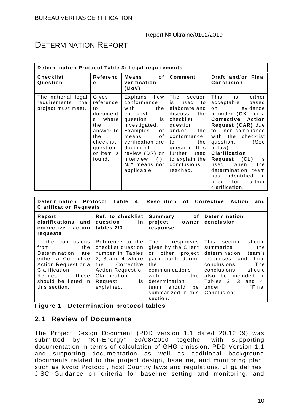### DETERMINATION REPORT

| Determination Protocol Table 3: Legal requirements              |                                                                                                                                |                                                                                                                                                                                                                                       |                                                                                                                                                                                                                                |                                                                                                                                                                                                                                                                                                                                                                                        |
|-----------------------------------------------------------------|--------------------------------------------------------------------------------------------------------------------------------|---------------------------------------------------------------------------------------------------------------------------------------------------------------------------------------------------------------------------------------|--------------------------------------------------------------------------------------------------------------------------------------------------------------------------------------------------------------------------------|----------------------------------------------------------------------------------------------------------------------------------------------------------------------------------------------------------------------------------------------------------------------------------------------------------------------------------------------------------------------------------------|
| <b>Checklist</b><br>Question                                    | Referenc<br>е                                                                                                                  | <b>Means</b><br>of<br>verification<br>(MoV)                                                                                                                                                                                           | Comment                                                                                                                                                                                                                        | Draft and/or<br>Final<br><b>Conclusion</b>                                                                                                                                                                                                                                                                                                                                             |
| The national legal<br>the<br>requirements<br>project must meet. | Gives<br>reference<br>to<br>document<br>where<br>S<br>the<br>answer to<br>the<br>checklist<br>question<br>or item is<br>found. | Explains<br>how<br>conformance<br>with<br>the<br>checklist<br>question<br>is<br>investigated.<br>Examples<br>of<br>of<br>means<br>verification are<br>document<br>review (DR) or<br>(I).<br>interview<br>N/A means not<br>applicable. | The<br>section<br>is<br>used<br>to<br>elaborate and<br>discuss<br>the<br>checklist<br>question<br>and/or<br>the<br>conformance<br>the<br>to<br>question. It is<br>further<br>used<br>to explain the<br>conclusions<br>reached. | This<br>either<br>is<br>acceptable<br>based<br>evidence<br>on.<br>provided (OK), or a<br>Corrective<br>Action<br>Request (CAR) due<br>non-compliance<br>to<br>with<br>the<br>checklist<br>question.<br>(See<br>below).<br>Clarification<br>(CL)<br>Request<br>is<br>when<br>used<br>the<br>determination<br>team<br>identified<br>has<br>a<br>for<br>further<br>need<br>clarification. |

| Determination Protocol Table<br>4: Resolution<br>Corrective<br>οf<br>Action<br>and<br><b>Clarification Requests</b>                                                                   |                                                                                                                                                                           |                                                                                                                                                                                                       |                                                                                                                                                                                                                                            |  |
|---------------------------------------------------------------------------------------------------------------------------------------------------------------------------------------|---------------------------------------------------------------------------------------------------------------------------------------------------------------------------|-------------------------------------------------------------------------------------------------------------------------------------------------------------------------------------------------------|--------------------------------------------------------------------------------------------------------------------------------------------------------------------------------------------------------------------------------------------|--|
| Report<br>clarifications and<br>corrective<br>action<br>requests                                                                                                                      | Ref. to checklist<br>question<br>in.<br>tables 2/3                                                                                                                        | of<br>Determination<br>Summary<br>conclusion<br>project<br>owner<br>response                                                                                                                          |                                                                                                                                                                                                                                            |  |
| If the conclusions<br>the<br>from<br>Determination<br>are<br>either a Corrective<br>Action Request or a<br>Clarification<br>these<br>Request,<br>should be listed in<br>this section. | Reference to the<br>checklist question<br>number in Tables<br>2, 3 and 4 where<br>Corrective<br>the.<br>Action Request or<br>Clarification<br>is<br>Request<br>explained. | The<br>responses<br>given by the Client<br>or other project<br>participants during<br>the<br>communications<br>with<br>the<br>determination<br>should<br>be<br>team<br>summarized in this<br>section. | This<br>should<br>section<br>the<br>summarize<br>determination<br>team's<br>final<br>responses and<br>conclusions.<br>The<br>conclusions<br>should<br>also be included<br>-in<br>Tables $2, 3$ and $4,$<br>"Final<br>under<br>Conclusion". |  |

| Figure 1 |  | <b>Determination protocol tables</b> |
|----------|--|--------------------------------------|
|----------|--|--------------------------------------|

#### **2.1 Review of Documents**

The Project Design Document (PDD version 1.1 dated 20.12.09) was submitted by "KT-Energy" 20/08/2010 together with supporting documentation in terms of calculation of GHG emission. PDD Version 1.1 and supporting documentation as well as additional background documents related to the project design, baseline, and monitoring plan, such as Kyoto Protocol, host Country laws and regulations, JI guidelines, JISC Guidance on criteria for baseline setting and monitoring, and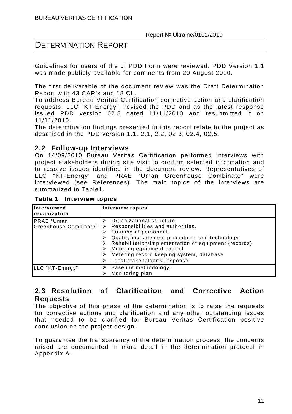Guidelines for users of the JI PDD Form were reviewed. PDD Version 1.1 was made publicly available for comments from 20 August 2010.

The first deliverable of the document review was the Draft Determination Report with 43 CAR's and 18 CL.

To address Bureau Veritas Certification corrective action and clarification requests, LLC "KT-Energy", revised the PDD and as the latest response issued PDD version 02.5 dated 11/11/2010 and resubmitted it on 11/11/2010.

The determination findings presented in this report relate to the project as described in the PDD version 1.1, 2.1, 2.2, 02.3, 02.4, 02.5.

#### **2.2 Follow-up Interviews**

On 14/09/2010 Bureau Veritas Certification performed interviews with project stakeholders during site visit to confirm selected information and to resolve issues identified in the document review. Representatives of LLC "KT-Energy" and PRAE "Uman Greenhouse Combinate" were interviewed (see References). The main topics of the interviews are summarized in Table1.

| Interviewed<br>organization                | Interview topics                                                                                                                                                                                                                                                                                                |
|--------------------------------------------|-----------------------------------------------------------------------------------------------------------------------------------------------------------------------------------------------------------------------------------------------------------------------------------------------------------------|
| <b>PRAE</b> "Uman<br>Greenhouse Combinate" | Organizational structure.<br>Responsibilities and authorities.<br>Training of personnel.<br>Quality management procedures and technology.<br>Rehabilitation/Implementation of equipment (records).<br>Metering equipment control.<br>Metering record keeping system, database.<br>Local stakeholder's response. |
| LLC "KT-Energy"                            | Baseline methodology.<br>Monitoring plan.                                                                                                                                                                                                                                                                       |

**Table 1 Interview topics** 

#### **2.3 Resolution of Clarification and Corrective Action Requests**

The objective of this phase of the determination is to raise the requests for corrective actions and clarification and any other outstanding issues that needed to be clarified for Bureau Veritas Certification positive conclusion on the project design.

To guarantee the transparency of the determination process, the concerns raised are documented in more detail in the determination protocol in Appendix A.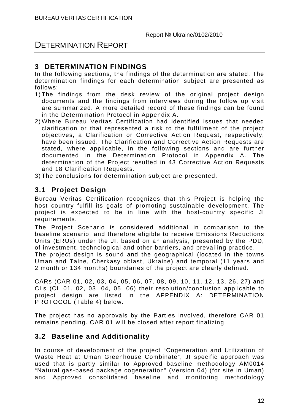#### **3 DETERMINATION FINDINGS**

In the following sections, the findings of the determination are stated. The determination findings for each determination subject are presented as follows:

- 1) The findings from the desk review of the original project design documents and the findings from interviews during the follow up visit are summarized. A more detailed record of these findings can be found in the Determination Protocol in Appendix A.
- 2) Where Bureau Veritas Certification had identified issues that needed clarification or that represented a risk to the fulfillment of the project objectives, a Clarification or Corrective Action Request, respectively, have been issued. The Clarification and Corrective Action Requests are stated, where applicable, in the following sections and are further documented in the Determination Protocol in Appendix A. The determination of the Project resulted in 43 Corrective Action Requests and 18 Clarification Requests.
- 3) The conclusions for determination subject are presented.

#### **3.1 Project Design**

Bureau Veritas Certification recognizes that this Project is helping the host country fulfill its goals of promoting sustainable development. The project is expected to be in line with the host-country specific JI requirements.

The Project Scenario is considered additional in comparison to the baseline scenario, and therefore eligible to receive Emissions Reductions Units (ERUs) under the JI, based on an analysis, presented by the PDD, of investment, technological and other barriers, and prevailing practice.

The project design is sound and the geographical (located in the towns Uman and Talne, Cherkasy oblast, Ukraine) and temporal (11 years and 2 month or 134 months) boundaries of the project are clearly defined.

CARs (CAR 01, 02, 03, 04, 05, 06, 07, 08, 09, 10, 11, 12, 13, 26, 27) and CLs (CL 01, 02, 03, 04, 05, 06) their resolution/conclusion applicable to project design are listed in the APPENDIX A: DETERMINATION PROTOCOL (Table 4) below.

The project has no approvals by the Parties involved, therefore CAR 01 remains pending. CAR 01 will be closed after report finalizing.

#### **3.2 Baseline and Additionality**

In course of development of the project "Cogeneration and Utilization of Waste Heat at Uman Greenhouse Combinate", JI specific approach was used that is partly similar to Approved baseline methodology AM0014 "Natural gas-based package cogeneration" (Version 04) (for site in Uman) and Approved consolidated baseline and monitoring methodology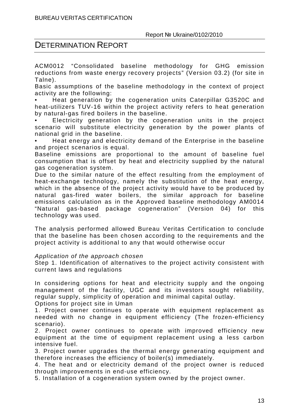#### DETERMINATION REPORT

ACM0012 "Consolidated baseline methodology for GHG emission reductions from waste energy recovery projects" (Version 03.2) (for site in Talne).

Basic assumptions of the baseline methodology in the context of project activity are the following:

• Heat generation by the cogeneration units Caterpillar G3520C and heat-utilizers TUV-16 within the project activity refers to heat generation by natural-gas fired boilers in the baseline.

• Electricity generation by the cogeneration units in the project scenario will substitute electricity generation by the power plants of national grid in the baseline.

• Heat energy and electricity demand of the Enterprise in the baseline and project scenarios is equal.

Baseline emissions are proportional to the amount of baseline fuel consumption that is offset by heat and electricity supplied by the natural gas cogeneration system.

Due to the similar nature of the effect resulting from the employment of heat-exchange technology, namely the substitution of the heat energy, which in the absence of the project activity would have to be produced by natural gas-fired water boilers, the similar approach for baseline emissions calculation as in the Approved baseline methodology AM0014 "Natural gas-based package cogeneration" (Version 04) for this technology was used.

The analysis performed allowed Bureau Veritas Certification to conclude that the baseline has been chosen according to the requirements and the project activity is additional to any that would otherwise occur

#### Application of the approach chosen

Step 1. Identification of alternatives to the project activity consistent with current laws and regulations

In considering options for heat and electricity supply and the ongoing management of the facility, UGC and its investors sought reliability, regular supply, simplicity of operation and minimal capital outlay.

Options for project site in Uman

1. Project owner continues to operate with equipment replacement as needed with no change in equipment efficiency (The frozen-efficiency scenario).

2. Project owner continues to operate with improved efficiency new equipment at the time of equipment replacement using a less carbon intensive fuel.

3. Project owner upgrades the thermal energy generating equipment and therefore increases the efficiency of boiler(s) immediately.

4. The heat and or electricity demand of the project owner is reduced through improvements in end-use efficiency.

5. Installation of a cogeneration system owned by the project owner.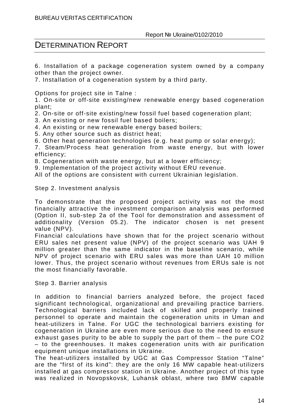6. Installation of a package cogeneration system owned by a company other than the project owner.

7. Installation of a cogeneration system by a third party.

Options for project site in Talne :

1. On-site or off-site existing/new renewable energy based cogeneration plant;

2. On-site or off-site existing/new fossil fuel based cogeneration plant;

3. An existing or new fossil fuel based boilers;

4. An existing or new renewable energy based boilers;

5. Any other source such as district heat;

6. Other heat generation technologies (e.g. heat pump or solar energy);

7. Steam/Process heat generation from waste energy, but with lower efficiency;

8. Cogeneration with waste energy, but at a lower efficiency;

9. Implementation of the project activity without ERU revenue.

All of the options are consistent with current Ukrainian legislation.

Step 2. Investment analysis

To demonstrate that the proposed project activity was not the most financially attractive the investment comparison analysis was performed (Option II, sub-step 2a of the Tool for demonstration and assessment of additionality (Version 05.2). The indicator chosen is net present value (NPV).

Financial calculations have shown that for the project scenario without ERU sales net present value (NPV) of the project scenario was UAH 9 million greater than the same indicator in the baseline scenario, while NPV of project scenario with ERU sales was more than UAH 10 million lower. Thus, the project scenario without revenues from ERUs sale is not the most financially favorable.

Step 3. Barrier analysis

In addition to financial barriers analyzed before, the project faced significant technological, organizational and prevailing practice barriers. Technological barriers included lack of skilled and properly trained personnel to operate and maintain the cogeneration units in Uman and heat-utilizers in Talne. For UGC the technological barriers existing for cogeneration in Ukraine are even more serious due to the need to ensure exhaust gases purity to be able to supply the part of them – the pure CO2 – to the greenhouses. It makes cogeneration units with air purification equipment unique installations in Ukraine.

The heat-utilizers installed by UGC at Gas Compressor Station "Talne" are the "first of its kind": they are the only 16 MW capable heat-utilizers installed at gas compressor station in Ukraine. Another project of this type was realized in Novopskovsk, Luhansk oblast, where two 8MW capable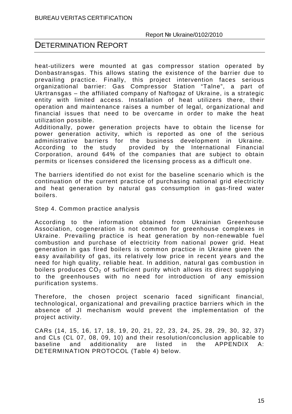#### DETERMINATION REPORT

heat-utilizers were mounted at gas compressor station operated by Donbastransgas. This allows stating the existence of the barrier due to prevailing practice. Finally, this project intervention faces serious organizational barrier: Gas Compressor Station "Talne", a part of Ukrtransgas – the affiliated company of Naftogaz of Ukraine, is a strategic entity with limited access. Installation of heat utilizers there, their operation and maintenance raises a number of legal, organizational and financial issues that need to be overcame in order to make the heat utilization possible.

Additionally, power generation projects have to obtain the license for power generation activity, which is reported as one of the serious administrative barriers for the business development in Ukraine. According to the study provided by the International Financial Corporation, around 64% of the companies that are subject to obtain permits or licenses considered the licensing process as a difficult one.

The barriers identified do not exist for the baseline scenario which is the continuation of the current practice of purchasing national grid electricity and heat generation by natural gas consumption in gas-fired water boilers.

Step 4. Common practice analysis

According to the information obtained from Ukrainian Greenhouse Association, cogeneration is not common for greenhouse complexes in Ukraine. Prevailing practice is heat generation by non-renewable fuel combustion and purchase of electricity from national power grid. Heat generation in gas fired boilers is common practice in Ukraine given the easy availability of gas, its relatively low price in recent years and the need for high quality, reliable heat. In addition, natural gas combustion in boilers produces  $CO<sub>2</sub>$  of sufficient purity which allows its direct supplying to the greenhouses with no need for introduction of any emission purification systems.

Therefore, the chosen project scenario faced significant financial, technological, organizational and prevailing practice barriers which in the absence of JI mechanism would prevent the implementation of the project activity.

CARs (14, 15, 16, 17, 18, 19, 20, 21, 22, 23, 24, 25, 28, 29, 30, 32, 37) and CLs (CL 07, 08, 09, 10) and their resolution/conclusion applicable to baseline and additionality are listed in the APPENDIX A: DETERMINATION PROTOCOL (Table 4) below.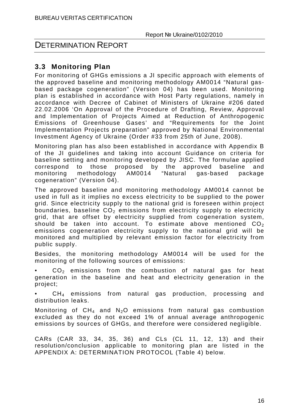#### DETERMINATION REPORT

#### **3.3 Monitoring Plan**

For monitoring of GHGs emissions a JI specific approach with elements of the approved baseline and monitoring methodology AM0014 "Natural gasbased package cogeneration" (Version 04) has been used. Monitoring plan is established in accordance with Host Party regulations, namely in accordance with Decree of Cabinet of Ministers of Ukraine #206 dated 22.02.2006 'On Approval of the Procedure of Drafting, Review, Approval and Implementation of Projects Aimed at Reduction of Anthropogenic Emissions of Greenhouse Gases' and "Requirements for the Joint Implementation Projects preparation" approved by National Environmental Investment Agency of Ukraine (Order #33 from 25th of June, 2008).

Monitoring plan has also been established in accordance with Appendix B of the JI guidelines and taking into account Guidance on criteria for baseline setting and monitoring developed by JISC. The formulae applied correspond to those proposed by the approved baseline and monitoring methodology AM0014 "Natural gas-based package cogeneration" (Version 04).

The approved baseline and monitoring methodology AM0014 cannot be used in full as it implies no excess electricity to be supplied to the power grid. Since electricity supply to the national grid is foreseen within project boundaries, baseline  $CO<sub>2</sub>$  emissions from electricity supply to electricity grid, that are offset by electricity supplied from cogeneration system, should be taken into account. To estimate above mentioned  $CO<sub>2</sub>$ emissions cogeneration electricity supply to the national grid will be monitored and multiplied by relevant emission factor for electricity from public supply.

Besides, the monitoring methodology AM0014 will be used for the monitoring of the following sources of emissions:

 $CO<sub>2</sub>$  emissions from the combustion of natural gas for heat generation in the baseline and heat and electricity generation in the project;

 $CH<sub>4</sub>$  emissions from natural gas production, processing and distribution leaks.

Monitoring of  $CH_4$  and N<sub>2</sub>O emissions from natural gas combustion excluded as they do not exceed 1% of annual average anthropogenic emissions by sources of GHGs, and therefore were considered negligible.

CARs (CAR 33, 34, 35, 36) and CLs (CL 11, 12, 13) and their resolution/conclusion applicable to monitoring plan are listed in the APPENDIX A: DETERMINATION PROTOCOL (Table 4) below.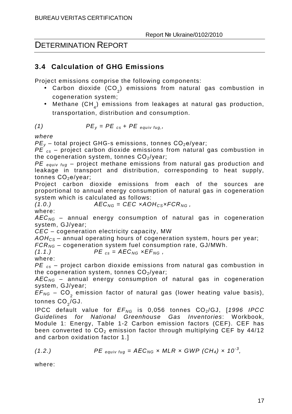#### **3.4 Calculation of GHG Emissions**

Project emissions comprise the following components:

- $\bullet$  Carbon dioxide (CO $_2^{}$ ) emissions from natural gas combustion in cogeneration system;
- $\bullet$  Methane (CH $_4$ ) emissions from leakages at natural gas production, transportation, distribution and consumption.

(1) 
$$
PE_y = PE_{cs} + PE_{equiv} t_{uq}
$$

where

 $PE<sub>v</sub>$  – total project GHG-s emissions, tonnes  $CO<sub>2</sub>e/year;$ 

 $PE_{cs}$  – project carbon dioxide emissions from natural gas combustion in the cogeneration system, tonnes  $CO<sub>2</sub>/year$ ;

 $PE$  equiv fug – project methane emissions from natural gas production and leakage in transport and distribution, corresponding to heat supply, tonnes CO<sub>2</sub>e/year;

Project carbon dioxide emissions from each of the sources are proportional to annual energy consumption of natural gas in cogeneration system which is calculated as follows:

$$
(1.0.) \t\t AEC_{NG} = CEC \times AOH_{CS} \times FCR_{NG} ,
$$

where:

*AEC<sub>NG</sub>* – annual energy consumption of natural gas in cogeneration system, GJ/year;

CEC – cogeneration electricity capacity, MW

 $AOH_{CS}$  – annual operating hours of cogeneration system, hours per year;

 $FCR_{NG}$  – cogeneration system fuel consumption rate, GJ/MWh.

 $(1.1.)$   $PE_{cs} = AEC_{NG} \times EF_{NG}$ ,

where:

 $PE_{cs}$  – project carbon dioxide emissions from natural gas combustion in the cogeneration system, tonnes  $CO<sub>2</sub>/year$ ;

*AEC<sub>NG</sub>* – annual energy consumption of natural gas in cogeneration system, GJ/year;

 $EF_{NG}$  – CO<sub>2</sub> emission factor of natural gas (lower heating value basis), tonnes CO $_{2}$ /GJ.

IPCC default value for  $EF_{NG}$  is 0,056 tonnes  $CO<sub>2</sub>/GJ$ , [1996 IPCC Guidelines for National Greenhouse Gas Inventories: Workbook, Module 1: Energy, Table 1-2 Carbon emission factors (CEF). CEF has been converted to  $CO<sub>2</sub>$  emission factor through multiplying CEF by 44/12 and carbon oxidation factor 1.]

(1.2.) 
$$
PE_{\text{equiving}} = AEC_{NG} \times MLR \times GWP (CH_4) \times 10^{-3},
$$

where: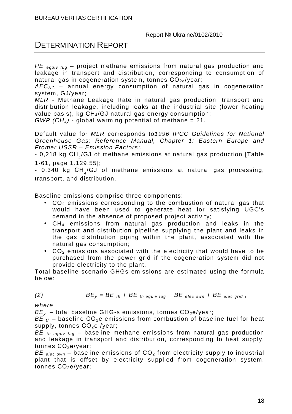$PE$  equiv fug – project methane emissions from natural gas production and leakage in transport and distribution, corresponding to consumption of natural gas in cogeneration system, tonnes  $CO_{2e}/year$ ;

*AEC<sub>NG</sub>* – annual energy consumption of natural gas in cogeneration system, GJ/year;

MLR - Methane Leakage Rate in natural gas production, transport and distribution leakage, including leaks at the industrial site (lower heating value basis), kg CH<sub>4</sub>/GJ natural gas energy consumption;

 $GWP$  (CH<sub>4</sub>) - global warming potential of methane = 21.

Default value for MLR corresponds to1996 IPCC Guidelines for National Greenhouse Gas: Reference Manual, Chapter 1: Eastern Europe and Fromer USSR – Emission Factors:.

- 0,218 kg CH $_{\mathrm{4}}$ /GJ of methane emissions at natural gas production [Table 1-61, page 1.129.55];

- 0,340 kg CH $_{\mathrm{4}}$ /GJ of methane emissions at natural gas processing, transport, and distribution.

Baseline emissions comprise three components:

- $CO<sub>2</sub>$  emissions corresponding to the combustion of natural gas that would have been used to generate heat for satisfying UGC's demand in the absence of proposed project activity;
- $CH<sub>4</sub>$  emissions from natural gas production and leaks in the transport and distribution pipeline supplying the plant and leaks in the gas distribution piping within the plant, associated with the natural gas consumption;
- $CO<sub>2</sub>$  emissions associated with the electricity that would have to be purchased from the power grid if the cogeneration system did not provide electricity to the plant.

Total baseline scenario GHGs emissions are estimated using the formula below:

(2) 
$$
BE_y = BE_{th} + BE_{th \; equity \; fug} + BE_{elec \; own} + BE_{elec \; grid}
$$

where

 $BE<sub>v</sub>$  – total baseline GHG-s emissions, tonnes  $CO<sub>2</sub>e/year$ ;

BE  $_{th}$  – baseline CO<sub>2</sub>e emissions from combustion of baseline fuel for heat supply, tonnes  $CO<sub>2</sub>e$  /year;

BE th equiv fug – baseline methane emissions from natural gas production and leakage in transport and distribution, corresponding to heat supply, tonnes CO<sub>2</sub>e/year;

BE  $_{elec,own}$  – baseline emissions of CO<sub>2</sub> from electricity supply to industrial plant that is offset by electricity supplied from cogeneration system, tonnes CO<sub>2</sub>e/year: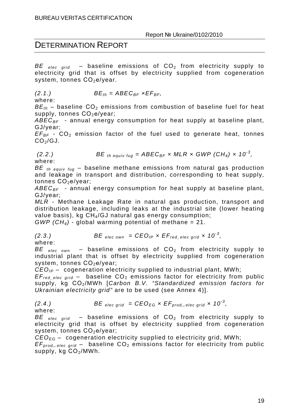BE  $_{elec\ grid}$  – baseline emissions of  $CO<sub>2</sub>$  from electricity supply to electricity grid that is offset by electricity supplied from cogeneration system, tonnes CO<sub>2</sub>e/year.

$$
(2.1.) \t BEth = ABECBF xEFBF,
$$

where:

 $BE_{th}$  – baseline CO<sub>2</sub> emissions from combustion of baseline fuel for heat supply, tonnes CO<sub>2</sub>e/year;

 $ABEC_{BF}$  - annual energy consumption for heat supply at baseline plant, GJ/year;

 $EF_{BF}$  -  $CO_{2}$  emission factor of the fuel used to generate heat, tonnes  $CO<sub>2</sub>/GJ$ .

(2.2.) 
$$
BE_{th\;equiv\;y} = ABEC_{BF} \times MLR \times GWP (CH_4) \times 10^{-3},
$$

where:

BE th equiv fug – baseline methane emissions from natural gas production and leakage in transport and distribution, corresponding to heat supply, tonnes CO<sub>2</sub>e/year;

 $ABEC_{BF}$  - annual energy consumption for heat supply at baseline plant, GJ/year;

MLR - Methane Leakage Rate in natural gas production, transport and distribution leakage, including leaks at the industrial site (lower heating value basis), kg CH<sub>4</sub>/GJ natural gas energy consumption;

 $GWP$  (CH<sub>4</sub>) - global warming potential of methane = 21.

$$
(2.3.) \t BE_{elec own} = CEO_{IP} \times EF_{red_eelec grid} \times 10^{-3},
$$

where:

BE  $_{elec}$   $_{own}$  – baseline emissions of CO<sub>2</sub> from electricity supply to industrial plant that is offset by electricity supplied from cogeneration system, tonnes CO<sub>2</sub>e/year;

 $CEO_{IP}$  – cogeneration electricity supplied to industrial plant, MWh;

 $EF_{red-elec grid}$  – baseline  $CO<sub>2</sub>$  emissions factor for electricity from public supply, kg CO<sub>2</sub>/MWh [Carbon B.V. "Standardized emission factors for Ukrainian electricity grid" are to be used (see Annex 4)].

(2.4.) 
$$
BE_{elec grid} = CEO_{EG} \times EF_{prod_e elec grid} \times 10^{-3},
$$

where:

BE elec grid – baseline emissions of  $CO<sub>2</sub>$  from electricity supply to electricity grid that is offset by electricity supplied from cogeneration system, tonnes CO<sub>2</sub>e/year;

 $CEO_{EG}$  – cogeneration electricity supplied to electricity grid, MWh;

 $EF_{prod\_elec\ grid}$  – baseline  $CO<sub>2</sub>$  emissions factor for electricity from public supply, kg  $CO<sub>2</sub>/MWh$ .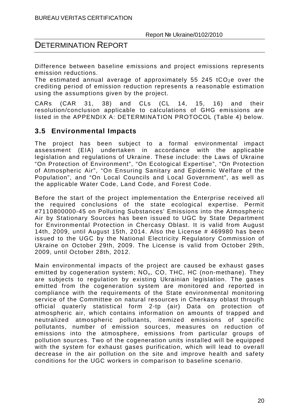Difference between baseline emissions and project emissions represents emission reductions.

The estimated annual average of approximately 55 245 tCO<sub>2</sub>e over the crediting period of emission reduction represents a reasonable estimation using the assumptions given by the project.

CARs (CAR 31, 38) and CLs (CL 14, 15, 16) and their resolution/conclusion applicable to calculations of GHG emissions are listed in the APPENDIX A: DETERMINATION PROTOCOL (Table 4) below.

#### **3.5 Environmental Impacts**

The project has been subject to a formal environmental impact assessment (EIA) undertaken in accordance with the applicable legislation and regulations of Ukraine. These include: the Laws of Ukraine "On Protection of Environment", "On Ecological Expertise", "On Protection of Atmospheric Air", "On Ensuring Sanitary and Epidemic Welfare of the Population", and "On Local Councils and Local Government", as well as the applicable Water Code, Land Code, and Forest Code.

Before the start of the project implementation the Enterprise received all the required conclusions of the state ecological expertise. Permit #7110800000-45 on Polluting Substances' Emissions into the Atmospheric Air by Stationary Sources has been issued to UGC by State Department for Environmental Protection in Chercasy Oblast. It is valid from August 14th, 2009, until August 15th, 2014. Also the License # 469980 has been issued to the UGC by the National Electricity Regulatory Commission of Ukraine on October 29th, 2009. The License is valid from October 29th, 2009, until October 28th, 2012.

Main environmental impacts of the project are caused be exhaust gases emitted by cogeneration system;  $NO<sub>x</sub>$ , CO, THC, HC (non-methane). They are subjects to regulation by existing Ukrainian legislation. The gases emitted from the cogeneration system are monitored and reported in compliance with the requirements of the State environmental monitoring service of the Committee on natural resources in Cherkasy oblast through official quaterly statistical form 2-tp (air) Data on protection of atmospheric air, which contains information on amounts of trapped and neutralized atmospheric pollutants, itemized emissions of specific pollutants, number of emission sources, measures on reduction of emissions into the atmosphere, emissions from particular groups of pollution sources. Two of the cogeneration units installed will be equipped with the system for exhaust gases purification, which will lead to overall decrease in the air pollution on the site and improve health and safety conditions for the UGC workers in comparison to baseline scenario.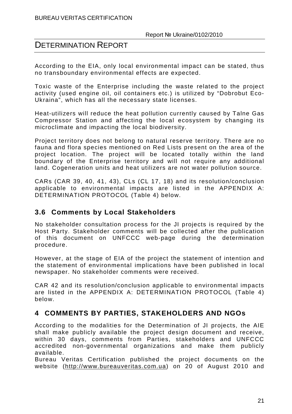According to the EIA, only local environmental impact can be stated, thus no transboundary environmental effects are expected.

Toxic waste of the Enterprise including the waste related to the project activity (used engine oil, oil containers etc.) is utilized by "Dobrobut Eco-Ukraina", which has all the necessary state licenses.

Heat-utilizers will reduce the heat pollution currently caused by Talne Gas Compressor Station and affecting the local ecosystem by changing its microclimate and impacting the local biodiversity.

Project territory does not belong to natural reserve territory. There are no fauna and flora species mentioned on Red Lists present on the area of the project location. The project will be located totally within the land boundary of the Enterprise territory and will not require any additional land. Cogeneration units and heat utilizers are not water pollution source.

CARs (CAR 39, 40, 41, 43), CLs (CL 17, 18) and its resolution/conclusion applicable to environmental impacts are listed in the APPENDIX A: DETERMINATION PROTOCOL (Table 4) below.

#### **3.6 Comments by Local Stakeholders**

No stakeholder consultation process for the JI projects is required by the Host Party. Stakeholder comments will be collected after the publication of this document on UNFCCC web-page during the determination procedure.

However, at the stage of EIA of the project the statement of intention and the statement of environmental implications have been published in local newspaper. No stakeholder comments were received.

CAR 42 and its resolution/conclusion applicable to environmental impacts are listed in the APPENDIX A: DETERMINATION PROTOCOL (Table 4) below.

#### **4 COMMENTS BY PARTIES, STAKEHOLDERS AND NGOs**

According to the modalities for the Determination of JI projects, the AIE shall make publicly available the project design document and receive, within 30 days, comments from Parties, stakeholders and UNFCCC accredited non-governmental organizations and make them publicly available.

Bureau Veritas Certification published the project documents on the website (http://www.bureauveritas.com.ua) on 20 of August 2010 and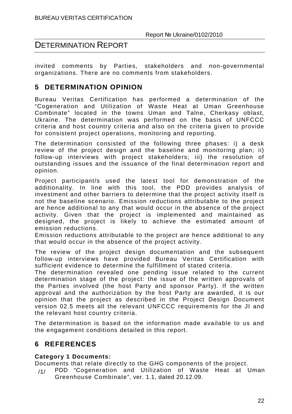invited comments by Parties, stakeholders and non-governmental organizations. There are no comments from stakeholders.

#### **5 DETERMINATION OPINION**

Bureau Veritas Certification has performed a determination of the "Cogeneration and Utilization of Waste Heat at Uman Greenhouse Combinate" located in the towns Uman and Talne, Cherkasy oblast, Ukraine. The determination was performed on the basis of UNFCCC criteria and host country criteria and also on the criteria given to provide for consistent project operations, monitoring and reporting.

The determination consisted of the following three phases: i) a desk review of the project design and the baseline and monitoring plan; ii) follow-up interviews with project stakeholders; iii) the resolution of outstanding issues and the issuance of the final determination report and opinion.

Project participant/s used the latest tool for demonstration of the additionality. In line with this tool, the PDD provides analysis of investment and other barriers to determine that the project activity itself is not the baseline scenario. Emission reductions attributable to the project are hence additional to any that would occur in the absence of the project activity. Given that the project is implemented and maintained as designed, the project is likely to achieve the estimated amount of emission reductions.

Emission reductions attributable to the project are hence additional to any that would occur in the absence of the project activity.

The review of the project design documentation and the subsequent follow-up interviews have provided Bureau Veritas Certification with sufficient evidence to determine the fulfillment of stated criteria.

The determination revealed one pending issue related to the current determination stage of the project: the issue of the written approvals of the Parties involved (the host Party and sponsor Party). If the written approval and the authorization by the host Party are awarded, it is our opinion that the project as described in the Project Design Document version 02.5 meets all the relevant UNFCCC requirements for the JI and the relevant host country criteria.

The determination is based on the information made available to us and the engagement conditions detailed in this report.

#### **6 REFERENCES**

#### **Category 1 Documents:**

Documents that relate directly to the GHG components of the project.

/1/ PDD "Cogeneration and Utilization of Waste Heat at Uman Greenhouse Combinate", ver. 1.1, dated 20.12.09.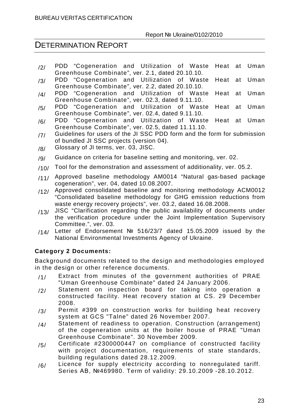#### DETERMINATION REPORT

- /2/ PDD "Cogeneration and Utilization of Waste Heat at Uman Greenhouse Combinate", ver. 2.1, dated 20.10.10.
- /3/ PDD "Cogeneration and Utilization of Waste Heat at Uman Greenhouse Combinate", ver. 2.2, dated 20.10.10.
- /4/ PDD "Cogeneration and Utilization of Waste Heat at Uman Greenhouse Combinate", ver. 02.3, dated 9.11.10.
- /5/ PDD "Cogeneration and Utilization of Waste Heat at Uman Greenhouse Combinate", ver. 02.4, dated 9.11.10.
- /6/ PDD "Cogeneration and Utilization of Waste Heat at Uman Greenhouse Combinate", ver. 02.5, dated 11.11.10.
- /7/ Guidelines for users of the JI SSC PDD form and the form for submission of bundled JI SSC projects (version 04).
- /8/ Glossary of JI terms, ver. 03, JISC.
- $/9/$  Guidance on criteria for baseline setting and monitoring, ver. 02.
- $/10/$  Tool for the demonstration and assessment of additionality, ver. 05.2.
- /11/ Approved baseline methodology AM0014 "Natural gas-based package cogeneration", ver. 04, dated 10.08.2007.
- /12/ Approved consolidated baseline and monitoring methodology ACM0012 "Consolidated baseline methodology for GHG emission reductions from waste energy recovery projects", ver. 03.2, dated 16.08.2008.
- $/13/$  JISC "Clarification regarding the public availability of documents under the verification procedure under the Joint Implementation Supervisory Committee.", ver. 03.
- /14/ Letter of Endorsement  $N<sup>°</sup>$  516/23/7 dated 15.05.2009 issued by the National Environmental Investments Agency of Ukraine.

#### **Category 2 Documents:**

Background documents related to the design and methodologies employed in the design or other reference documents.

- /1/ Extract from minutes of the government authorities of PRAE "Uman Greenhouse Combinate" dated 24 January 2006.
- /2/ Statement on inspection board for taking into operation a constructed facility. Heat recovery station at CS. 29 December 2008.
- /3/ Permit #399 on construction works for building heat recovery system at GCS "Talne" dated 26 November 2007.
- /4/ Statement of readiness to operation. Construction (arrangement) of the cogeneration units at the boiler house of PRAE "Uman Greenhouse Combinate". 30 November 2009.
- /5/ Certificate #2300000447 on compliance of constructed facility with project documentation, requirements of state standards, building regulations dated 28.12.2009.
- /6/ Licence for supply electricity according to nonregulated tariff. Series АВ, №469980. Term of validity: 29.10.2009 -28.10.2012.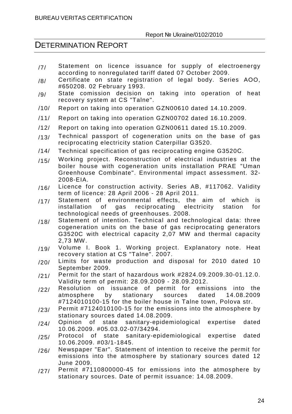- /7/ Statement on licence issuance for supply of electroenergy according to nonregulated tariff dated 07 October 2009.
- /8/ Certificate on state registration of legal body. Series AOO, #650208. 02 February 1993.
- /9/ State comission decision on taking into operation of heat recovery system at CS "Talne".
- /10/ Report on taking into operation GZN00610 dated 14.10.2009.
- /11/ Report on taking into operation GZN00702 dated 16.10.2009.
- /12/ Report on taking into operation GZN00611 dated 15.10.2009.
- $/13/$  Technical passport of cogeneration units on the base of gas reciprocating electricity station Caterpillar G3520.
- /14/ Technical specification of gas reciprocating engine G3520С.
- /15/ Working project. Reconstruction of electrical industries at the boiler house with cogeneration units installation PRAE "Uman Greenhouse Combinate". Environmental impact assessment. 32- 2008-EIA.
- /16/ Licence for construction activity. Series AB, #117062. Validity term of licence: 28 April 2006 - 28 April 2011.
- $/17/$  Statement of environmental effects, the aim of which is<br>installation of gas reciprocating electricity station for reciprocating technological needs of greenhouses. 2008.
- /18/ Statement of intention. Technical and technological data: three cogeneration units on the base of gas reciprocating generators G3520C with electrical capacity 2,07 MW and thermal capacity 2,73 MW.
- /19/ Volume I. Book 1. Working project. Explanatory note. Heat recovery station at CS "Talne". 2007.
- /20/ Limits for waste production and disposal for 2010 dated 10 September 2009.
- $/21/$  Permit for the start of hazardous work  $#2824.09.2009.30-01.12.0$ . Validity term of permit: 28.09.2009 - 28.09.2012.
- /22/ Resolution on issuance of permit for emissions into the<br>atmosphere by stationary sources dated 14.08.2009 atmosphere #7124010100-15 for the boiler house in Talne town, Polova str.
- $/23/$  Permit #7124010100-15 for the emissions into the atmosphere by stationary sources dated 14.08.2009.
- /24/ Opinion of state sanitary-epidemiological expertise dated 10.06.2009. #05.03.02-07/34294.
- /25/ Protocol of state sanitary-epidemiological expertise dated 10.06.2009. #03/1-1845.
- /26/ Newspaper "Ear". Statement of intention to receive the permit for emissions into the atmosphere by stationary sources dated 12 June 2009.
- /27/ Permit #7110800000-45 for emissions into the atmosphere by stationary sources. Date of permit issuance: 14.08.2009.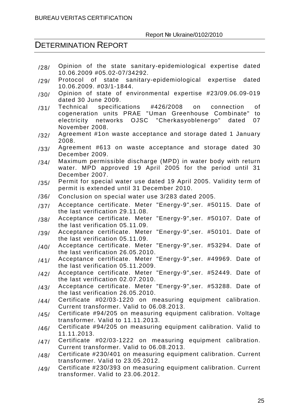- /28/ Opinion of the state sanitary-epidemiological expertise dated 10.06.2009 #05.02-07/34292.
- /29/ Protocol of state sanitary-epidemiological expertise dated 10.06.2009. #03/1-1844.
- /30/ Opinion of state of environmental expertise #23/09.06.09-019 dated 30 June 2009.
- /31/ Technical specifications #426/2008 on connection of<br>cogeneration units PRAE "Uman Greenhouse Combinate" to cogeneration units PRAE "Uman Greenhouse Combinate" electricity networks OJSC "Cherkasyoblenergo" dated 07 November 2008.
- /32/ Agreement #1on waste acceptance and storage dated 1 January 2008.
- /33/ Agreement #613 on waste acceptance and storage dated 30 December 2009.
- $/34/$  Maximum permissible discharge (MPD) in water body with return water. MPD approved 19 April 2005 for the period until 31 December 2007.
- /35/ Permit for special water use dated 19 April 2005. Validity term of permit is extended until 31 December 2010.
- /36/ Conclusion on special water use 3/283 dated 2005.
- /37/ Acceptance certificate. Meter "Energy-9", ser. #50115. Date of the last verification 29.11.08.
- /38/ Acceptance certificate. Meter "Energy-9", ser. #50107. Date of the last verification 05.11.09.
- /39/ Acceptance certificate. Meter "Energy-9",ser. #50101. Date of the last verification 05.11.09.
- /40/ Acceptance certificate. Meter "Energy-9", ser. #53294. Date of the last verification 26.05.2010.
- /41/ Acceptance certificate. Meter "Energy-9", ser. #49969. Date of the last verification 05.11.2009.
- /42/ Acceptance certificate. Meter "Energy-9", ser. #52449. Date of the last verification 02.07.2010.
- /43/ Acceptance certificate. Meter "Energy-9",ser. #53288. Date of the last verification 26.05.2010.
- $(44)$  Certificate #02/03-1220 on measuring equipment calibration. Current transformer. Valid to 06.08.2013.
- $/45/$  Certificate #94/205 on measuring equipment calibration. Voltage transformer. Valid to 11.11.2013.
- /46/ Certificate #94/205 on measuring equipment calibration. Valid to 11.11.2013.
- /47/ Certificate #02/03-1222 on measuring equipment calibration. Current transformer. Valid to 06.08.2013.
- /48/ Certificate #230/401 on measuring equipment calibration. Current transformer. Valid to 23.05.2012.
- $(49)$  Certificate #230/393 on measuring equipment calibration. Current transformer. Valid to 23.06.2012.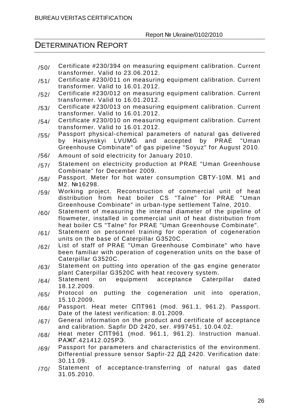- $/50/$  Certificate #230/394 on measuring equipment calibration. Current transformer. Valid to 23.06.2012.
- /51/ Certificate #230/011 on measuring equipment calibration. Current transformer. Valid to 16.01.2012.
- /52/ Certificate #230/012 on measuring equipment calibration. Current transformer. Valid to 16.01.2012.
- /53/ Certificate #230/013 on measuring equipment calibration. Current transformer. Valid to 16.01.2012.
- $/54/$  Certificate #230/010 on measuring equipment calibration. Current transformer. Valid to 16.01.2012.
- /55/ Passport physical-chemical parameters of natural gas delivered<br>by Haisynskyi LVUMG and accepted by PRAE "Uman by Haisynskyi LVUMG and accepted Greenhouse Combinate" of gas pipeline "Soyuz" for August 2010.
- /56/ Amount of sold electricity for January 2010.
- /57/ Statement on electricity production at PRAE "Uman Greenhouse Combinate" for December 2009.
- /58/ Passport. Meter for hot water consumption СВТУ-10М. М1 and М2. №16298.
- /59/ Working project. Reconstruction of commercial unit of heat distribution from heat boiler CS "Talne" for PRAE "Uman Greenhouse Combinate" in urban-type settlement Talne, 2010.
- $/60/$  Statement of measuring the internal diameter of the pipeline of flowmeter, installed in commercial unit of heat distribution from heat boiler CS "Talne" for PRAE "Uman Greenhouse Combinate".
- $/61/$  Statement on personnel training for operation of cogeneration units on the base of Caterpillar G3520C.
- /62/ List of staff of PRAE "Uman Greenhouse Combinate" who have been familiar with operation of cogeneration units on the base of Caterpillar G3520C.
- $/63/$  Statement on putting into operation of the gas engine generator plant Caterpillar G3520C with heat recovery system.
- /64/ Statement on equipment acceptance Caterpillar dated 18.12.2009.
- /65/ Protocol on putting the cogeneration unit into operation, 15.10.2009.
- /66/ Passport. Heat meter СПТ961 (mod. 961.1, 961.2). Passport. Date of the latest verification: 8.01.2009.
- /67/ General information on the product and certificate of acceptance and calibration. Sapfir DD 2420, ser. #997451. 10.04.02.
- $/68/$  Heat meter CNT961 (mod. 961.1, 961.2). Instruction manual. РАЖГ.421412.025РЭ.
- /69/ Passport for parameters and characteristics of the environment. Differential pressure sensor Sapfir-22 ДД 2420. Verification date: 30.11.09.
- /70/ Statement of acceptance-transferring of natural gas dated 31.05.2010.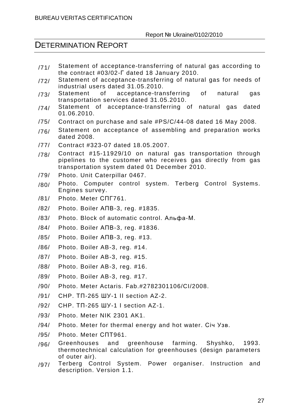- /71/ Statement of acceptance-transferring of natural gas according to the contract #03/02-Г dated 18 January 2010.
- /72/ Statement of acceptance-transferring of natural gas for needs of industrial users dated 31.05.2010.
- /73/ Statement of acceptance-transferring of natural gas transportation services dated 31.05.2010.
- /74/ Statement of acceptance-transferring of natural gas dated 01.06.2010.
- /75/ Contract on purchase and sale #PS/C/44-08 dated 16 May 2008.
- $/76/$  Statement on acceptance of assembling and preparation works dated 2008.
- /77/ Contract #323-07 dated 18.05.2007.
- /78/ Contract #15-11929/10 on natural gas transportation through pipelines to the customer who receives gas directly from gas transportation system dated 01 December 2010.
- /79/ Photo. Unit Caterpillar 0467.
- /80/ Photo. Computer control system. Terberg Control Systems. Engines survey.
- /81/ Photo. Meter СПГ761.
- /82/ Photo. Boiler АПВ-3, reg. #1835.
- /83/ Photo. Block of automatic control. Альфа-М.
- /84/ Photo. Boiler АПВ-3, reg. #1836.
- /85/ Photo. Boiler АПВ-3, reg. #13.
- /86/ Photo. Boiler AB-3, reg. #14.
- /87/ Photo. Boiler AB-3, reg. #15.
- /88/ Photo. Boiler AB-3, reg. #16.
- /89/ Photo. Boiler AB-3, reg. #17.
- /90/ Photo. Meter Actaris. Fab.#2782301106/CI/2008.
- /91/ CHP. ТП-265 ШУ-1 ІІ section AZ-2.
- /92/ CHP. ТП-265 ШУ-1 І section AZ-1.
- /93/ Photo. Meter NIK 2301 AK1.
- /94/ Photo. Meter for thermal energy and hot water. Січ Узв.
- /95/ Photo. Meter СПТ961.
- /96/ Greenhouses and greenhouse farming. Shyshko, 1993. thermotechnical calculation for greenhouses (design parameters of outer air).
- /97/ Terberg Control System. Power organiser. Instruction and description. Version 1.1.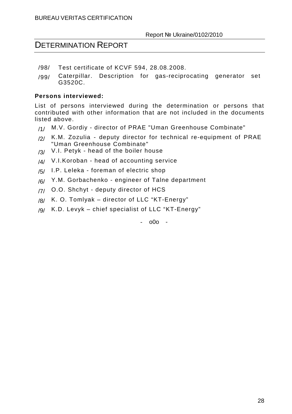- /98/ Test certificate of KCVF 594, 28.08.2008.
- /99/ Caterpillar. Description for gas-reciprocating generator set G3520C.

#### **Persons interviewed:**

List of persons interviewed during the determination or persons that contributed with other information that are not included in the documents listed above.

- /1/ M.V. Gordiy director of PRAE "Uman Greenhouse Combinate"
- $/2/$  K.M. Zozulia deputy director for technical re-equipment of PRAE "Uman Greenhouse Combinate"
- $/3/$  V.I. Petyk head of the boiler house
- $1/4$  V.I.Koroban head of accounting service
- $/5/$  I.P. Leleka foreman of electric shop
- /6/ Y.M. Gorbachenko engineer of Talne department
- /7/ O.O. Shchyt deputy director of HCS
- $/8/$  K. O. Tomlyak director of LLC "KT-Energy"
- /9/ K.D. Levyk chief specialist of LLC "KT-Energy"

- o0o -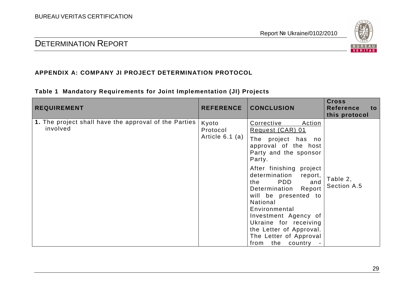

#### **APPENDIX A: COMPANY JI PROJECT DETERMINATION PROTOCOL**

#### **Table 1 Mandatory Requirements for Joint Implementation (JI) Projects**

| <b>REQUIREMENT</b>                                                | <b>REFERENCE</b>                       | <b>CONCLUSION</b>                                                                                                                                                                                                                                                                                                                                                                           | <b>Cross</b><br><b>Reference</b><br>to<br>this protocol |
|-------------------------------------------------------------------|----------------------------------------|---------------------------------------------------------------------------------------------------------------------------------------------------------------------------------------------------------------------------------------------------------------------------------------------------------------------------------------------------------------------------------------------|---------------------------------------------------------|
| 1. The project shall have the approval of the Parties<br>involved | Kyoto<br>Protocol<br>Article $6.1$ (a) | Corrective<br>Action<br>Request (CAR) 01<br>The project has no<br>approval of the host<br>Party and the sponsor<br>Party.<br>After finishing project<br>determination<br>report,<br>PDD<br>the<br>and<br>Determination<br>Report<br>will be presented to<br>National<br>Environmental<br>Investment Agency of<br>Ukraine for receiving<br>the Letter of Approval.<br>The Letter of Approval | Table 2,<br>Section A.5                                 |
|                                                                   |                                        | the country<br>from                                                                                                                                                                                                                                                                                                                                                                         |                                                         |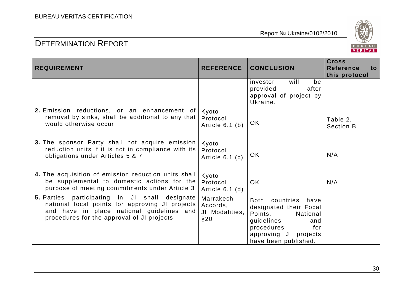

| <b>REQUIREMENT</b>                                                                                                                                                                                     | <b>REFERENCE</b>                               | <b>CONCLUSION</b>                                                                                                                                               | <b>Cross</b><br><b>Reference</b><br>to<br>this protocol |
|--------------------------------------------------------------------------------------------------------------------------------------------------------------------------------------------------------|------------------------------------------------|-----------------------------------------------------------------------------------------------------------------------------------------------------------------|---------------------------------------------------------|
|                                                                                                                                                                                                        |                                                | will<br>be<br>investor<br>provided<br>after<br>approval of project by<br>Ukraine.                                                                               |                                                         |
| 2. Emission reductions, or an enhancement of<br>removal by sinks, shall be additional to any that<br>would otherwise occur                                                                             | Kyoto<br>Protocol<br>Article $6.1$ (b)         | <b>OK</b>                                                                                                                                                       | Table 2,<br><b>Section B</b>                            |
| 3. The sponsor Party shall not acquire emission<br>reduction units if it is not in compliance with its<br>obligations under Articles 5 & 7                                                             | Kyoto<br>Protocol<br>Article $6.1$ (c)         | <b>OK</b>                                                                                                                                                       | N/A                                                     |
| 4. The acquisition of emission reduction units shall<br>be supplemental to domestic actions for the<br>purpose of meeting commitments under Article 3                                                  | Kyoto<br>Protocol<br>Article $6.1$ (d)         | <b>OK</b>                                                                                                                                                       | N/A                                                     |
| <b>5.</b> Parties participating in JI shall<br>designate<br>national focal points for approving JI projects<br>and have in place national guidelines and<br>procedures for the approval of JI projects | Marrakech<br>Accords,<br>JI Modalities,<br>§20 | Both countries have<br>designated their Focal<br>Points.<br>National<br>guidelines<br>and<br>procedures<br>for<br>approving JI projects<br>have been published. |                                                         |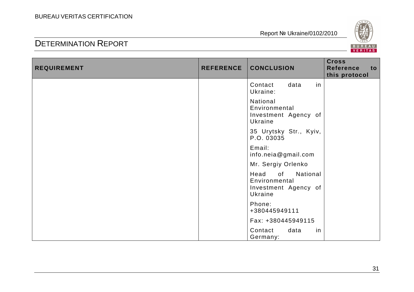

| <b>REQUIREMENT</b> | <b>REFERENCE</b> | <b>CONCLUSION</b>                                                          | <b>Cross</b><br><b>Reference</b><br>to<br>this protocol |
|--------------------|------------------|----------------------------------------------------------------------------|---------------------------------------------------------|
|                    |                  | in<br>Contact<br>data<br>Ukraine:                                          |                                                         |
|                    |                  | National<br>Environmental<br>Investment Agency of<br>Ukraine               |                                                         |
|                    |                  | 35 Urytsky Str., Kyiv,<br>P.O. 03035                                       |                                                         |
|                    |                  | Email:<br>info.neia@gmail.com                                              |                                                         |
|                    |                  | Mr. Sergiy Orlenko                                                         |                                                         |
|                    |                  | National<br>of<br>Head<br>Environmental<br>Investment Agency of<br>Ukraine |                                                         |
|                    |                  | Phone:<br>+380445949111                                                    |                                                         |
|                    |                  | Fax: +380445949115                                                         |                                                         |
|                    |                  | Contact<br>data<br>in<br>Germany:                                          |                                                         |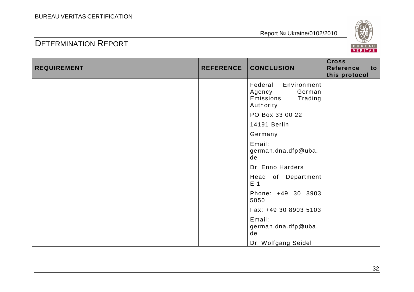

| <b>REQUIREMENT</b> | <b>REFERENCE</b> | <b>CONCLUSION</b>                                                               | <b>Cross</b><br><b>Reference</b><br>to<br>this protocol |
|--------------------|------------------|---------------------------------------------------------------------------------|---------------------------------------------------------|
|                    |                  | Federal<br>Environment<br>German<br>Agency<br>Emissions<br>Trading<br>Authority |                                                         |
|                    |                  | PO Box 33 00 22                                                                 |                                                         |
|                    |                  | 14191 Berlin                                                                    |                                                         |
|                    |                  | Germany                                                                         |                                                         |
|                    |                  | Email:<br>german.dna.dfp@uba.<br>de                                             |                                                         |
|                    |                  | Dr. Enno Harders                                                                |                                                         |
|                    |                  | Head of Department<br>E <sub>1</sub>                                            |                                                         |
|                    |                  | Phone: +49 30 8903<br>5050                                                      |                                                         |
|                    |                  | Fax: +49 30 8903 5103                                                           |                                                         |
|                    |                  | Email:<br>german.dna.dfp@uba.<br>de                                             |                                                         |
|                    |                  | Dr. Wolfgang Seidel                                                             |                                                         |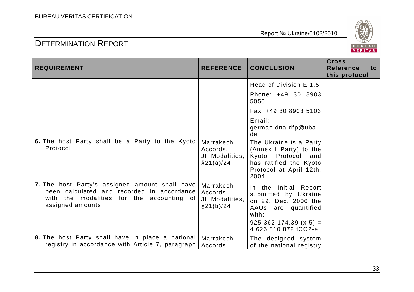

| <b>REQUIREMENT</b>                                                                                                                                            | <b>REFERENCE</b>                                         | <b>CONCLUSION</b>                                                                                                                                         | <b>Cross</b><br><b>Reference</b><br>to<br>this protocol |
|---------------------------------------------------------------------------------------------------------------------------------------------------------------|----------------------------------------------------------|-----------------------------------------------------------------------------------------------------------------------------------------------------------|---------------------------------------------------------|
|                                                                                                                                                               |                                                          | Head of Division E 1.5                                                                                                                                    |                                                         |
|                                                                                                                                                               |                                                          | Phone: +49 30 8903<br>5050                                                                                                                                |                                                         |
|                                                                                                                                                               |                                                          | Fax: +49 30 8903 5103                                                                                                                                     |                                                         |
|                                                                                                                                                               |                                                          | Email:<br>german.dna.dfp@uba.<br>de                                                                                                                       |                                                         |
| 6. The host Party shall be a Party to the Kyoto<br>Protocol                                                                                                   | Marrakech<br>Accords,<br>JI Modalities,<br>$\S$ 21(a)/24 | The Ukraine is a Party<br>(Annex I Party) to the<br>Protocol<br>Kyoto<br>and<br>has ratified the Kyoto<br>Protocol at April 12th,<br>2004.                |                                                         |
| 7. The host Party's assigned amount shall have<br>been calculated and recorded in accordance<br>with the modalities for the accounting of<br>assigned amounts | Marrakech<br>Accords,<br>JI Modalities,<br>$\S$ 21(b)/24 | In the Initial Report<br>submitted by Ukraine<br>on 29. Dec. 2006 the<br>AAUs are quantified<br>with:<br>$925$ 362 174.39 (x 5) =<br>4 626 810 872 tCO2-e |                                                         |
| 8. The host Party shall have in place a national<br>registry in accordance with Article 7, paragraph                                                          | Marrakech<br>Accords,                                    | The designed system<br>of the national registry                                                                                                           |                                                         |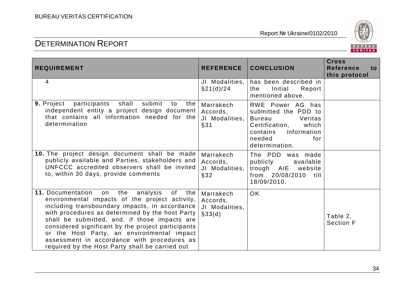

| <b>REQUIREMENT</b>                                                                                                                                                                                                                                                                                                                                                                                                                                                      | <b>REFERENCE</b>                                  | <b>CONCLUSION</b>                                                                                                                                             | <b>Cross</b><br><b>Reference</b><br>to<br>this protocol |
|-------------------------------------------------------------------------------------------------------------------------------------------------------------------------------------------------------------------------------------------------------------------------------------------------------------------------------------------------------------------------------------------------------------------------------------------------------------------------|---------------------------------------------------|---------------------------------------------------------------------------------------------------------------------------------------------------------------|---------------------------------------------------------|
| 4                                                                                                                                                                                                                                                                                                                                                                                                                                                                       | JI Modalities,<br>§21(d)/24                       | has been described in<br>Initial<br>Report<br>the<br>mentioned above.                                                                                         |                                                         |
| 9. Project<br>participants<br>shall<br>submit<br>the  <br>to<br>independent entity a project design document<br>that contains all information needed for the<br>determination                                                                                                                                                                                                                                                                                           | Marrakech<br>Accords,<br>JI Modalities,<br>§31    | RWE Power AG has<br>submitted the PDD to<br><b>Bureau</b><br>Veritas<br>Certification,<br>which<br>information<br>contains<br>needed<br>for<br>determination. |                                                         |
| 10. The project design document shall be made<br>publicly available and Parties, stakeholders and<br>UNFCCC accredited observers shall be invited<br>to, within 30 days, provide comments                                                                                                                                                                                                                                                                               | Marrakech<br>Accords,<br>JI Modalities,<br>§32    | The PDD was made<br>publicly<br>available<br>trough AIE website<br>from 20/08/2010<br>till –<br>18/09/2010.                                                   |                                                         |
| 11. Documentation<br>of<br>the<br>analysis<br>the  <br>on<br>environmental impacts of the project activity,<br>including transboundary impacts, in accordance<br>with procedures as determined by the host Party<br>shall be submitted, and, if those impacts are<br>considered significant by the project participants<br>or the Host Party, an environmental impact<br>assessment in accordance with procedures as<br>required by the Host Party shall be carried out | Marrakech<br>Accords,<br>JI Modalities,<br>§33(d) | <b>OK</b>                                                                                                                                                     | Table 2,<br><b>Section F</b>                            |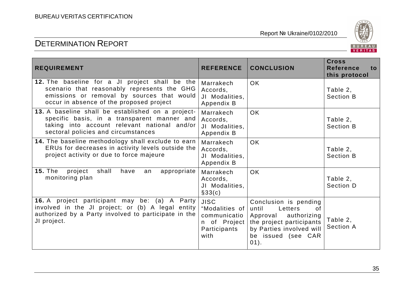

| <b>REQUIREMENT</b>                                                                                                                                                                      | <b>REFERENCE</b>                                                                      | <b>CONCLUSION</b>                                                                                                                                                | <b>Cross</b><br><b>Reference</b><br>to.<br>this protocol |
|-----------------------------------------------------------------------------------------------------------------------------------------------------------------------------------------|---------------------------------------------------------------------------------------|------------------------------------------------------------------------------------------------------------------------------------------------------------------|----------------------------------------------------------|
| 12. The baseline for a JI project shall be the<br>scenario that reasonably represents the GHG<br>emissions or removal by sources that would<br>occur in absence of the proposed project | Marrakech<br>Accords,<br>JI Modalities,<br>Appendix B                                 | <b>OK</b>                                                                                                                                                        | Table 2,<br><b>Section B</b>                             |
| 13. A baseline shall be established on a project-<br>specific basis, in a transparent manner and<br>taking into account relevant national and/or<br>sectoral policies and circumstances | Marrakech<br>Accords,<br>JI Modalities,<br>Appendix B                                 | <b>OK</b>                                                                                                                                                        | Table 2,<br><b>Section B</b>                             |
| 14. The baseline methodology shall exclude to earn<br>ERUs for decreases in activity levels outside the<br>project activity or due to force majeure                                     | Marrakech<br>Accords,<br>JI Modalities,<br>Appendix B                                 | <b>OK</b>                                                                                                                                                        | Table 2,<br><b>Section B</b>                             |
| <b>15. The</b><br>project<br>shall<br>appropriate<br>have<br>an<br>monitoring plan                                                                                                      | Marrakech<br>Accords,<br>JI Modalities,<br>§33(c)                                     | <b>OK</b>                                                                                                                                                        | Table 2,<br>Section D                                    |
| 16. A project participant may be: (a) A Party<br>involved in the JI project; or (b) A legal entity  <br>authorized by a Party involved to participate in the<br>JI project.             | <b>JISC</b><br>"Modalities of<br>communicatio<br>n of Project<br>Participants<br>with | Conclusion is pending<br>until<br>Letters<br>of<br>Approval authorizing<br>the project participants<br>by Parties involved will<br>be issued (see CAR<br>$01$ ). | Table 2,<br><b>Section A</b>                             |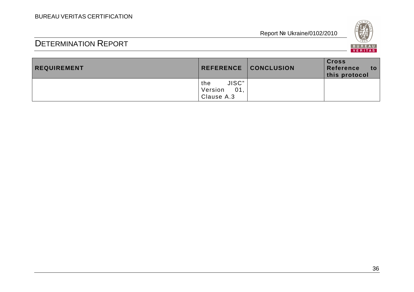

| <b>REQUIREMENT</b> |                                              | REFERENCE   CONCLUSION | <b>Cross</b><br>Reference<br>to<br>this protocol |
|--------------------|----------------------------------------------|------------------------|--------------------------------------------------|
|                    | JISC"<br>the<br>Version<br>01.<br>Clause A.3 |                        |                                                  |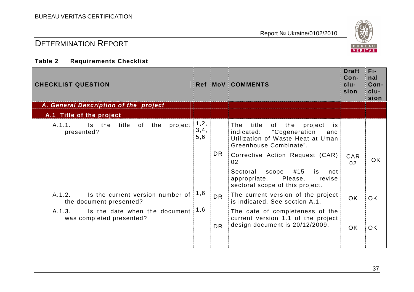

## DETERMINATION REPORT

#### **Table 2 Requirements Checklist**

| <b>CHECKLIST QUESTION</b>                                             |                       |           | Ref MoV COMMENTS                                                                                                                              | <b>Draft</b><br>Con-<br>$clu-$<br>sion | Fi-<br>nal<br>Con-<br>$clu-$<br>sion |
|-----------------------------------------------------------------------|-----------------------|-----------|-----------------------------------------------------------------------------------------------------------------------------------------------|----------------------------------------|--------------------------------------|
| A. General Description of the project                                 |                       |           |                                                                                                                                               |                                        |                                      |
| A.1 Title of the project                                              |                       |           |                                                                                                                                               |                                        |                                      |
| A.1.1.<br>title of<br>the<br>project<br>Is the<br>presented?          | 1, 2,<br>3, 4,<br>5,6 |           | of the<br>The<br>title<br>project<br>is.<br>"Cogeneration<br>indicated:<br>and<br>Utilization of Waste Heat at Uman<br>Greenhouse Combinate". |                                        |                                      |
|                                                                       |                       | <b>DR</b> | Corrective Action Request (CAR)<br>02                                                                                                         | <b>CAR</b><br>02                       | OK.                                  |
|                                                                       |                       |           | #15<br>Sectoral<br>scope<br>is<br>not<br>appropriate. Please,<br>revise<br>sectoral scope of this project.                                    |                                        |                                      |
| Is the current version number of<br>A.1.2.<br>the document presented? | 1,6                   | <b>DR</b> | The current version of the project<br>is indicated. See section A.1.                                                                          | <b>OK</b>                              | OK.                                  |
| Is the date when the document<br>A.1.3.<br>was completed presented?   | 1,6                   | <b>DR</b> | The date of completeness of the<br>current version 1.1 of the project<br>design document is 20/12/2009.                                       | <b>OK</b>                              | <b>OK</b>                            |
|                                                                       |                       |           |                                                                                                                                               |                                        |                                      |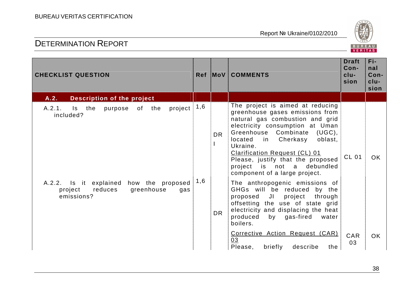

| <b>CHECKLIST QUESTION</b>                                                                           |     |           | Ref MoV COMMENTS                                                                                                                                                                                                                                                                                                                                                     | <b>Draft</b><br>Con-<br>$clu-$<br>sion | Fi-<br>nal<br>Con-<br>$clu-$<br>sion |
|-----------------------------------------------------------------------------------------------------|-----|-----------|----------------------------------------------------------------------------------------------------------------------------------------------------------------------------------------------------------------------------------------------------------------------------------------------------------------------------------------------------------------------|----------------------------------------|--------------------------------------|
| Description of the project<br>A.2.                                                                  |     |           |                                                                                                                                                                                                                                                                                                                                                                      |                                        |                                      |
| project<br>A.2.1.<br>Is the purpose of the<br>included?                                             | 1,6 | <b>DR</b> | The project is aimed at reducing<br>greenhouse gases emissions from<br>natural gas combustion and grid<br>electricity consumption at Uman<br>Greenhouse Combinate<br>(UGC),<br>oblast,<br>in Cherkasy<br>located<br>Ukraine.<br>Clarification Request (CL) 01<br>Please, justify that the proposed<br>project is not a<br>debundled<br>component of a large project. | <b>CL 01</b>                           | OK.                                  |
| A.2.2. Is it explained<br>how the proposed<br>greenhouse<br>reduces<br>project<br>gas<br>emissions? | 1,6 | <b>DR</b> | The anthropogenic emissions of<br>GHGs will be reduced by the<br>proposed JI<br>project<br>through<br>offsetting the use of state grid<br>electricity and displacing the heat<br>produced<br>by gas-fired<br>water<br>boilers.                                                                                                                                       |                                        |                                      |
|                                                                                                     |     |           | Corrective Action Request (CAR)<br>03<br>Please,<br>describe<br>briefly<br>the                                                                                                                                                                                                                                                                                       | CAR<br>03                              | OK.                                  |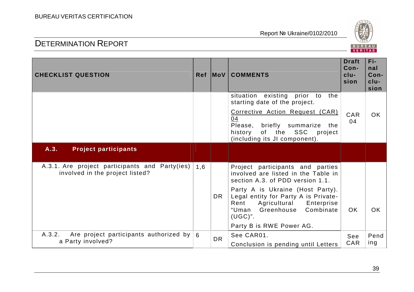

| <b>CHECKLIST QUESTION</b>                                                         |     |           | Ref MoV COMMENTS                                                                                                                                                                                                                                                                                            | <b>Draft</b><br>Con-<br>clu-<br>sion | Fi-<br>nal<br>Con-<br>clu-<br>sion |
|-----------------------------------------------------------------------------------|-----|-----------|-------------------------------------------------------------------------------------------------------------------------------------------------------------------------------------------------------------------------------------------------------------------------------------------------------------|--------------------------------------|------------------------------------|
|                                                                                   |     |           | situation existing<br>prior<br>to<br>the<br>starting date of the project.<br>Corrective Action Request (CAR)<br>04<br>Please, briefly summarize<br>the<br>of the SSC<br>history<br>project<br>(including its JI component).                                                                                 | CAR<br>04                            | <b>OK</b>                          |
| A.3.<br><b>Project participants</b>                                               |     |           |                                                                                                                                                                                                                                                                                                             |                                      |                                    |
| A.3.1. Are project participants and Party(ies)<br>involved in the project listed? | 1.6 | <b>DR</b> | Project participants and parties<br>involved are listed in the Table in<br>section A.3. of PDD version 1.1.<br>Party A is Ukraine (Host Party).<br>Legal entity for Party A is Private-<br>Agricultural<br>Rent<br>Enterprise<br>Combinate<br>Greenhouse<br>"Uman<br>$(UGC)$ ".<br>Party B is RWE Power AG. | <b>OK</b>                            | OK                                 |
| A.3.2.<br>Are project participants authorized by $6$<br>a Party involved?         |     | <b>DR</b> | See CAR01.<br>Conclusion is pending until Letters                                                                                                                                                                                                                                                           | See<br>CAR                           | Pend<br>ing                        |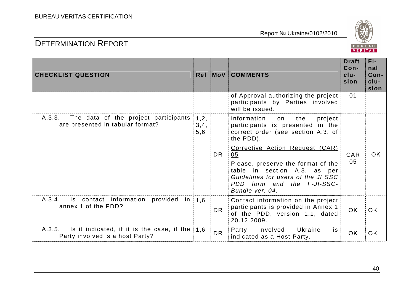

| <b>CHECKLIST QUESTION</b>                                                               |                       |           | Ref MoV COMMENTS                                                                                                                                                                                   | <b>Draft</b><br>Con-<br>$clu-$<br>sion | Fi-<br>nal<br>Con-<br>$clu-$<br>sion |
|-----------------------------------------------------------------------------------------|-----------------------|-----------|----------------------------------------------------------------------------------------------------------------------------------------------------------------------------------------------------|----------------------------------------|--------------------------------------|
|                                                                                         |                       |           | of Approval authorizing the project<br>participants by Parties involved<br>will be issued.                                                                                                         | 01                                     |                                      |
| A.3.3.<br>The data of the project participants<br>are presented in tabular format?      | 1, 2,<br>3, 4,<br>5,6 |           | Information<br>the<br>project<br>on<br>participants is presented in the<br>correct order (see section A.3. of<br>the PDD).                                                                         |                                        |                                      |
|                                                                                         |                       | <b>DR</b> | Corrective Action Request (CAR)<br>05<br>Please, preserve the format of the<br>table in section A.3. as per<br>Guidelines for users of the JI SSC<br>PDD form and the F-JI-SSC-<br>Bundle ver. 04. | CAR<br>05                              | <b>OK</b>                            |
| Is contact information provided in $1,6$<br>A.3.4.<br>annex 1 of the PDD?               |                       | DR.       | Contact information on the project<br>participants is provided in Annex 1<br>of the PDD, version 1.1, dated<br>20.12.2009.                                                                         | <b>OK</b>                              | <b>OK</b>                            |
| A.3.5.<br>Is it indicated, if it is the case, if the<br>Party involved is a host Party? | 1,6                   | <b>DR</b> | involved<br><b>Ukraine</b><br>Party<br>is<br>indicated as a Host Party.                                                                                                                            | <b>OK</b>                              | <b>OK</b>                            |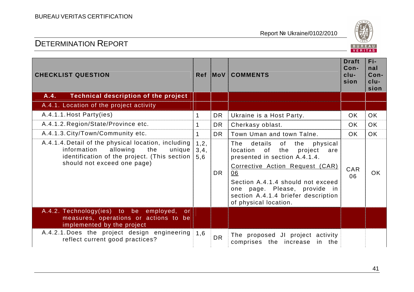

| <b>CHECKLIST QUESTION</b>                                                                                                                                                      |                       |           | Ref MoV COMMENTS                                                                                                                                                                                                                                                                               | <b>Draft</b><br>Con-<br>$clu-$<br>sion | Fi-<br>nal<br>Con-<br>$clu-$<br>sion |
|--------------------------------------------------------------------------------------------------------------------------------------------------------------------------------|-----------------------|-----------|------------------------------------------------------------------------------------------------------------------------------------------------------------------------------------------------------------------------------------------------------------------------------------------------|----------------------------------------|--------------------------------------|
| <b>Technical description of the project</b><br>A.4.                                                                                                                            |                       |           |                                                                                                                                                                                                                                                                                                |                                        |                                      |
| A.4.1. Location of the project activity                                                                                                                                        |                       |           |                                                                                                                                                                                                                                                                                                |                                        |                                      |
| A.4.1.1. Host Party(ies)                                                                                                                                                       | $\mathbf 1$           | <b>DR</b> | Ukraine is a Host Party.                                                                                                                                                                                                                                                                       | <b>OK</b>                              | <b>OK</b>                            |
| A.4.1.2. Region/State/Province etc.                                                                                                                                            | $\mathbf 1$           | <b>DR</b> | Cherkasy oblast.                                                                                                                                                                                                                                                                               | <b>OK</b>                              | <b>OK</b>                            |
| A.4.1.3. City/Town/Community etc.                                                                                                                                              | $\mathbf 1$           | DR.       | Town Uman and town Talne.                                                                                                                                                                                                                                                                      | OK.                                    | <b>OK</b>                            |
| A.4.1.4. Detail of the physical location, including<br>allowing<br>information<br>the<br>unique<br>identification of the project. (This section<br>should not exceed one page) | 1, 2,<br>3, 4,<br>5,6 | <b>DR</b> | The<br>of the<br>details<br>physical<br>of<br>location<br>the<br>project<br>are<br>presented in section A.4.1.4.<br>Corrective Action Request (CAR)<br>06<br>Section A.4.1.4 should not exceed<br>one page. Please, provide in<br>section A.4.1.4 briefer description<br>of physical location. | CAR<br>06                              | OK.                                  |
| A.4.2. Technology(ies) to be employed,<br>or<br>measures, operations or actions to be<br>implemented by the project                                                            |                       |           |                                                                                                                                                                                                                                                                                                |                                        |                                      |
| A.4.2.1. Does the project design engineering 1,6<br>reflect current good practices?                                                                                            |                       | <b>DR</b> | The proposed JI project activity<br>comprises the increase in the                                                                                                                                                                                                                              |                                        |                                      |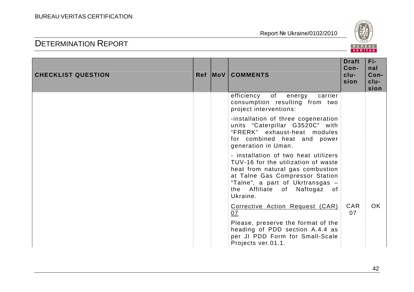

| <b>CHECKLIST QUESTION</b> |  | Ref MoV COMMENTS                                                                                                                                                                                                                   | <b>Draft</b><br>Con-<br>$clu-$<br>sion | Fi-<br>nal<br>Con-<br>$clu-$<br>sion |
|---------------------------|--|------------------------------------------------------------------------------------------------------------------------------------------------------------------------------------------------------------------------------------|----------------------------------------|--------------------------------------|
|                           |  | of<br>efficiency<br>carrier<br>energy<br>consumption resulting from two<br>project interventions:                                                                                                                                  |                                        |                                      |
|                           |  | -installation of three cogeneration<br>units "Caterpillar G3520C" with<br>"FRERK" exhaust-heat modules<br>for combined heat and power<br>generation in Uman.                                                                       |                                        |                                      |
|                           |  | - installation of two heat utilizers<br>TUV-16 for the utilization of waste<br>heat from natural gas combustion<br>at Talne Gas Compressor Station<br>"Talne", a part of Ukrtransgas -<br>the Affiliate of Naftogaz of<br>Ukraine. |                                        |                                      |
|                           |  | Corrective Action Request (CAR)<br>07                                                                                                                                                                                              | CAR<br>07                              | OK.                                  |
|                           |  | Please, preserve the format of the<br>heading of PDD section A.4.4 as<br>per JI PDD Form for Small-Scale<br>Projects ver.01.1.                                                                                                     |                                        |                                      |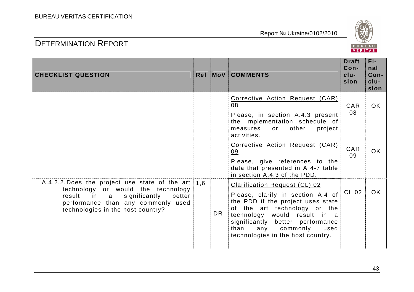

| <b>CHECKLIST QUESTION</b>                                                                                                                                                                                 |     |           | Ref MoV COMMENTS                                                                                                                                                                                                                                                                        | <b>Draft</b><br>$Con-$<br>$clu-$<br>sion | Fi-<br>nal<br>Con-<br>clu-<br>sion |
|-----------------------------------------------------------------------------------------------------------------------------------------------------------------------------------------------------------|-----|-----------|-----------------------------------------------------------------------------------------------------------------------------------------------------------------------------------------------------------------------------------------------------------------------------------------|------------------------------------------|------------------------------------|
|                                                                                                                                                                                                           |     |           | Corrective Action Request (CAR)<br>08<br>Please, in section A.4.3 present<br>the implementation schedule of<br>other<br>project<br>measures<br>or<br>activities.                                                                                                                        | <b>CAR</b><br>08                         | OK                                 |
|                                                                                                                                                                                                           |     |           | Corrective Action Request (CAR)<br>09<br>Please, give references to the<br>data that presented in A 4-7 table<br>in section A.4.3 of the PDD.                                                                                                                                           | CAR<br>09                                | OK.                                |
| A.4.2.2. Does the project use state of the art<br>technology or would the technology<br>significantly<br>result in a<br>better<br>performance than any commonly used<br>technologies in the host country? | 1,6 | <b>DR</b> | <b>Clarification Request (CL) 02</b><br>Please, clarify in section A.4 of<br>the PDD if the project uses state<br>of the art technology or the<br>technology would result in a<br>significantly better performance<br>any commonly<br>than<br>used<br>technologies in the host country. | CL 02                                    | OK.                                |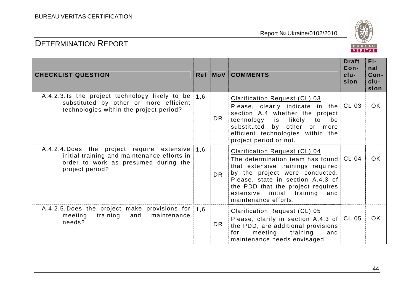

| <b>CHECKLIST QUESTION</b>                                                                                                                             |     |           | Ref MoV COMMENTS                                                                                                                                                                                                                                                                    | <b>Draft</b><br>$Con-$<br>$clu-$<br>sion | Fi-<br>nal<br>Con-<br>$clu-$<br>sion |
|-------------------------------------------------------------------------------------------------------------------------------------------------------|-----|-----------|-------------------------------------------------------------------------------------------------------------------------------------------------------------------------------------------------------------------------------------------------------------------------------------|------------------------------------------|--------------------------------------|
| A.4.2.3.1s the project technology likely to be $1.6$<br>substituted by other or more efficient<br>technologies within the project period?             |     | DR.       | <b>Clarification Request (CL) 03</b><br>Please, clearly indicate in the $CL$ 03<br>section A.4 whether the project<br>technology is likely to be<br>substituted by other or more<br>efficient technologies within the<br>project period or not.                                     |                                          | OK.                                  |
| A.4.2.4. Does the project require extensive<br>initial training and maintenance efforts in<br>order to work as presumed during the<br>project period? | 1.6 | <b>DR</b> | <b>Clarification Request (CL) 04</b><br>The determination team has found<br>that extensive trainings required<br>by the project were conducted.<br>Please, state in section A.4.3 of<br>the PDD that the project requires<br>extensive initial training and<br>maintenance efforts. | CL 04                                    | <b>OK</b>                            |
| A.4.2.5. Does the project make provisions for<br>training<br>and maintenance<br>meeting<br>needs?                                                     | 1.6 | DR.       | <b>Clarification Request (CL) 05</b><br>Please, clarify in section A.4.3 of CL 05<br>the PDD, are additional provisions<br>meeting training<br>for<br>and<br>maintenance needs envisaged.                                                                                           |                                          | OK.                                  |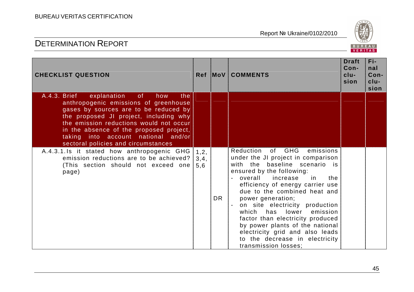## BUREAU VERITAS CERTIFICATION

| <b>CHECKLIST QUESTION</b>                                                                                                                                                                                                                                                                                                                       |                       |           | Ref MoV COMMENTS                                                                                                                                                                                                                                                                                                                                                                                                                                                                                     | <b>Draft</b><br>Con-<br>$clu-$<br>sion | Fi-<br>nal<br>Con-<br>$clu-$<br>sion |
|-------------------------------------------------------------------------------------------------------------------------------------------------------------------------------------------------------------------------------------------------------------------------------------------------------------------------------------------------|-----------------------|-----------|------------------------------------------------------------------------------------------------------------------------------------------------------------------------------------------------------------------------------------------------------------------------------------------------------------------------------------------------------------------------------------------------------------------------------------------------------------------------------------------------------|----------------------------------------|--------------------------------------|
| A.4.3. Brief<br>explanation<br>of<br>how<br>the<br>anthropogenic emissions of greenhouse<br>gases by sources are to be reduced by<br>the proposed JI project, including why<br>the emission reductions would not occur<br>in the absence of the proposed project,<br>taking into account national and/or<br>sectoral policies and circumstances |                       |           |                                                                                                                                                                                                                                                                                                                                                                                                                                                                                                      |                                        |                                      |
| A.4.3.1.1s it stated how anthropogenic GHG<br>emission reductions are to be achieved?<br>(This section should not exceed one<br>page)                                                                                                                                                                                                           | 1, 2,<br>3, 4,<br>5,6 | <b>DR</b> | Reduction of GHG emissions<br>under the JI project in comparison<br>with the baseline scenario is<br>ensured by the following:<br>overall increase<br>the<br>in.<br>efficiency of energy carrier use<br>due to the combined heat and<br>power generation;<br>on site electricity production<br>which<br>has<br>lower<br>emission<br>factor than electricity produced<br>by power plants of the national<br>electricity grid and also leads<br>to the decrease in electricity<br>transmission losses; |                                        |                                      |

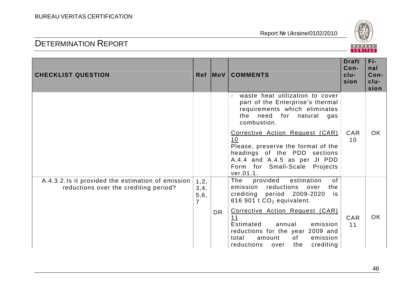

| <b>CHECKLIST QUESTION</b>                                                                  |                                           |           | Ref MoV COMMENTS                                                                                                                                                                            | <b>Draft</b><br>Con-<br>clu-<br>sion | Fi-<br>nal<br>Con-<br>$clu-$<br>sion |
|--------------------------------------------------------------------------------------------|-------------------------------------------|-----------|---------------------------------------------------------------------------------------------------------------------------------------------------------------------------------------------|--------------------------------------|--------------------------------------|
|                                                                                            |                                           |           | waste heat utilization to cover<br>part of the Enterprise's thermal<br>requirements which eliminates<br>for<br>need<br>the<br>natural<br>gas<br>combustion.                                 |                                      |                                      |
|                                                                                            |                                           |           | Corrective Action Request (CAR)<br>10<br>Please, preserve the format of the<br>headings of the PDD sections<br>A.4.4 and A.4.5 as per JI PDD<br>Form for Small-Scale Projects<br>ver.01.1.  | <b>CAR</b><br>10                     | OK.                                  |
| A.4.3.2.1s it provided the estimation of emission<br>reductions over the crediting period? | 1, 2,<br>3, 4,<br>5, 6,<br>$\overline{7}$ |           | provided<br>estimation<br>The<br>of<br>emission<br>reductions<br>the<br>over<br>crediting period 2009-2020<br>is<br>616 901 t $CO2$ equivalent.                                             |                                      |                                      |
|                                                                                            |                                           | <b>DR</b> | Corrective Action Request (CAR)<br>11<br>Estimated<br>emission<br>annual<br>reductions for the year 2009 and<br>total<br>of<br>emission<br>amount<br>reductions<br>crediting<br>the<br>over | CAR<br>11                            | OK.                                  |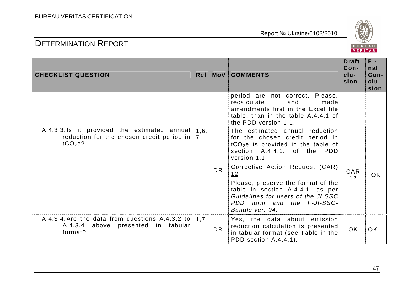

| <b>CHECKLIST QUESTION</b>                                                                             |                        |           | <b>Ref MoV COMMENTS</b>                                                                                                                                                                                | <b>Draft</b><br>Con-<br>$clu-$<br>sion | Fi-<br>nal<br>Con-<br>$clu-$<br>sion |
|-------------------------------------------------------------------------------------------------------|------------------------|-----------|--------------------------------------------------------------------------------------------------------------------------------------------------------------------------------------------------------|----------------------------------------|--------------------------------------|
|                                                                                                       |                        |           | period are not correct. Please,<br>recalculate<br>and<br>made<br>amendments first in the Excel file<br>table, than in the table A.4.4.1 of<br>the PDD version 1.1.                                     |                                        |                                      |
| A.4.3.3.1s it provided the estimated annual<br>reduction for the chosen credit period in<br>$tCO2e$ ? | 1,6,<br>$\overline{7}$ |           | The estimated annual reduction<br>for the chosen credit period in<br>$tCO2e$ is provided in the table of<br>section A.4.4.1. of the PDD<br>version 1.1.                                                | CAR<br>12                              |                                      |
|                                                                                                       |                        | <b>DR</b> | Corrective Action Request (CAR)<br>12<br>Please, preserve the format of the<br>table in section A.4.4.1. as per<br>Guidelines for users of the JI SSC<br>PDD form and the F-JI-SSC-<br>Bundle ver. 04. |                                        | OK.                                  |
| A.4.3.4. Are the data from questions A.4.3.2 to<br>A.4.3.4 above presented in tabular<br>format?      | 1,7                    | <b>DR</b> | Yes, the data about emission<br>reduction calculation is presented<br>in tabular format (see Table in the<br>PDD section A.4.4.1).                                                                     | <b>OK</b>                              | <b>OK</b>                            |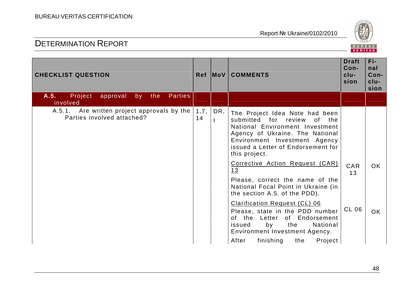

| <b>CHECKLIST QUESTION</b>                                                 |             |     | Ref MoV COMMENTS                                                                                                                                                                                                            | <b>Draft</b><br>Con-<br>$clu-$<br>sion | Fi-<br>nal<br>Con-<br>$clu-$<br>sion |
|---------------------------------------------------------------------------|-------------|-----|-----------------------------------------------------------------------------------------------------------------------------------------------------------------------------------------------------------------------------|----------------------------------------|--------------------------------------|
| A.5.<br>Project<br>approval<br>the<br><b>Parties</b><br>by<br>involved    |             |     |                                                                                                                                                                                                                             |                                        |                                      |
| A.5.1. Are written project approvals by the<br>Parties involved attached? | 1, 7,<br>14 | DR, | The Project Idea Note had been<br>submitted for review of the<br>National Environment Investment<br>Agency of Ukraine. The National<br>Environment Investment Agency<br>issued a Letter of Endorsement for<br>this project. |                                        |                                      |
|                                                                           |             |     | Corrective Action Request (CAR)<br>13<br>Please, correct the name of the<br>National Focal Point in Ukraine (in<br>the section A.5. of the PDD).                                                                            | CAR<br>13                              | OK.                                  |
|                                                                           |             |     | <b>Clarification Request (CL) 06</b><br>Please, state in the PDD number<br>of the<br>Letter of Endorsement<br>the<br>National<br>issued<br>by<br>Environment Investment Agency.<br>After<br>finishing<br>Project<br>the     | CL 06                                  | OK.                                  |